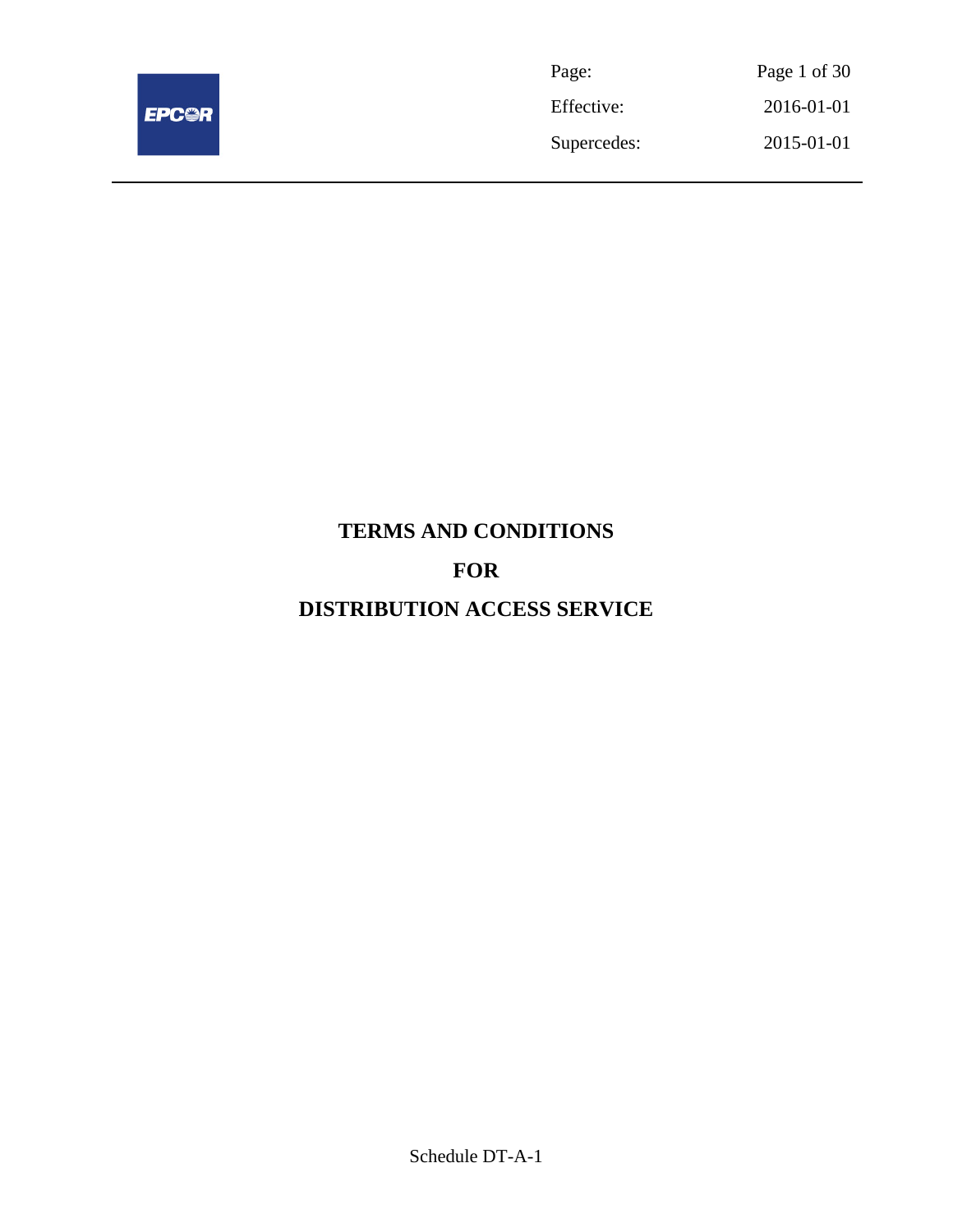

| Page:       | Page 1 of 30 |
|-------------|--------------|
| Effective:  | 2016-01-01   |
| Supercedes: | 2015-01-01   |

# **TERMS AND CONDITIONS FOR DISTRIBUTION ACCESS SERVICE**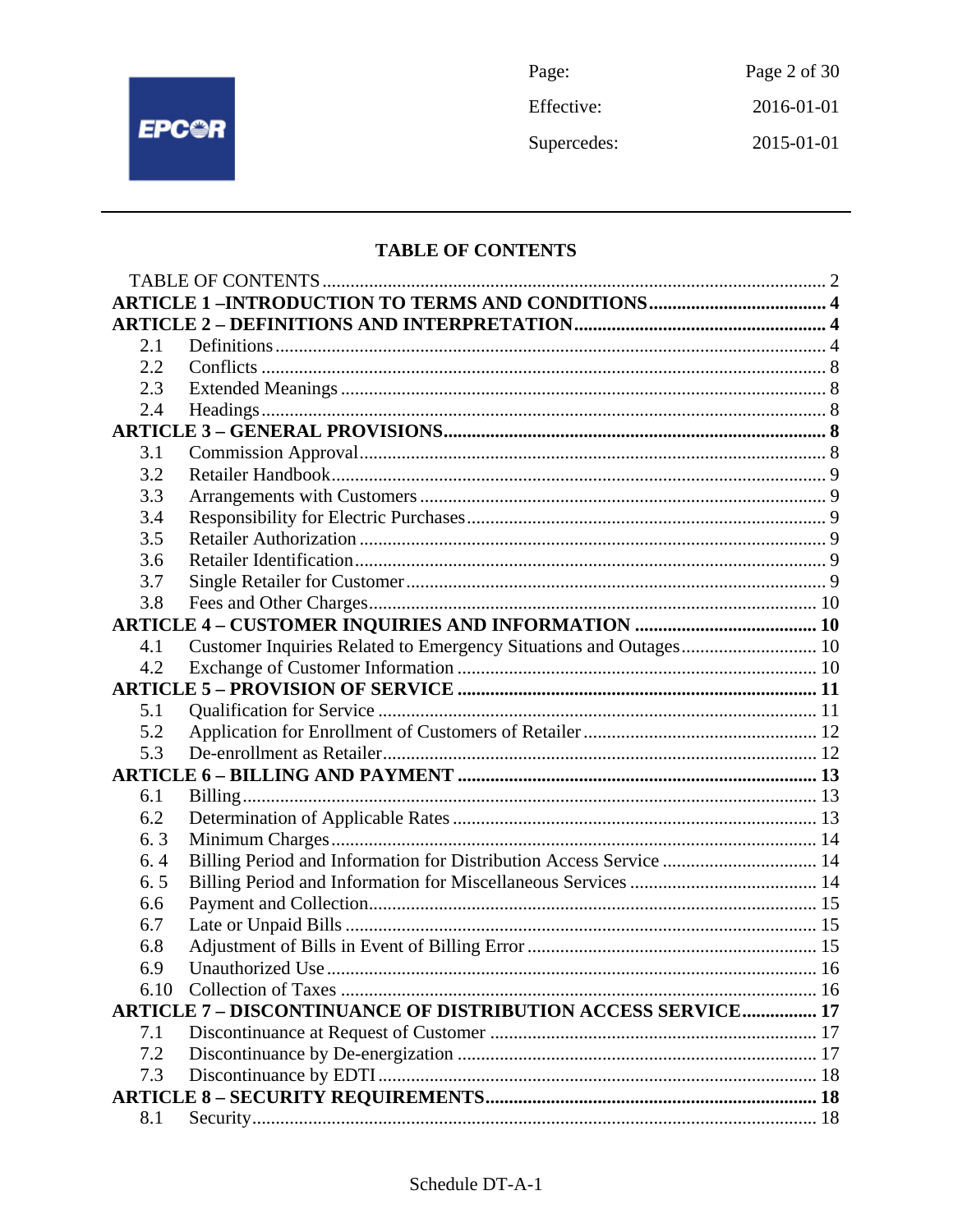

Page: Page 2 of 30 Effective: 2016-01-01 Supercedes: 2015-01-01

# **TABLE OF CONTENTS**

| 2.1  |                                                                     |  |
|------|---------------------------------------------------------------------|--|
| 2.2  |                                                                     |  |
| 2.3  |                                                                     |  |
| 2.4  |                                                                     |  |
|      |                                                                     |  |
| 3.1  |                                                                     |  |
| 3.2  |                                                                     |  |
| 3.3  |                                                                     |  |
| 3.4  |                                                                     |  |
| 3.5  |                                                                     |  |
| 3.6  |                                                                     |  |
| 3.7  |                                                                     |  |
| 3.8  |                                                                     |  |
|      |                                                                     |  |
| 4.1  | Customer Inquiries Related to Emergency Situations and Outages 10   |  |
| 4.2  |                                                                     |  |
|      |                                                                     |  |
| 5.1  |                                                                     |  |
| 5.2  |                                                                     |  |
| 5.3  |                                                                     |  |
|      |                                                                     |  |
| 6.1  |                                                                     |  |
| 6.2  |                                                                     |  |
| 6.3  |                                                                     |  |
| 6.4  | Billing Period and Information for Distribution Access Service  14  |  |
| 6.5  |                                                                     |  |
| 6.6  |                                                                     |  |
| 6.7  |                                                                     |  |
| 6.8  |                                                                     |  |
| 6.9  |                                                                     |  |
| 6.10 |                                                                     |  |
|      | <b>ARTICLE 7 - DISCONTINUANCE OF DISTRIBUTION ACCESS SERVICE 17</b> |  |
| 7.1  |                                                                     |  |
| 7.2  |                                                                     |  |
| 7.3  |                                                                     |  |
|      |                                                                     |  |
| 8.1  |                                                                     |  |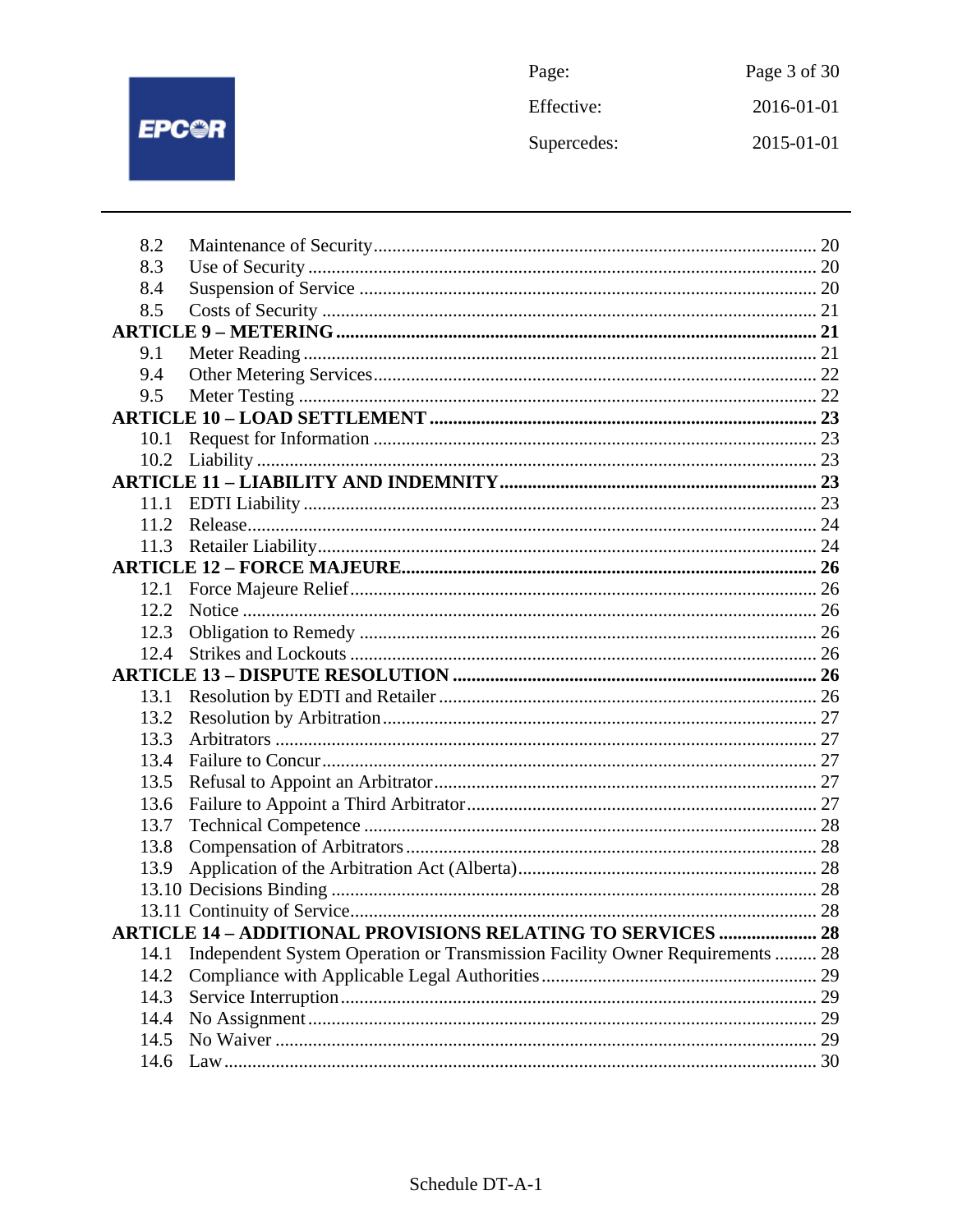

| Page:       | Page 3 of 30 |
|-------------|--------------|
| Effective:  | 2016-01-01   |
| Supercedes: | 2015-01-01   |

| 8.2<br>8.3<br>8.4<br>8.5<br>9.1<br>9.4<br>9.5<br>10.1<br>10.2<br>11.1<br>11.2<br>12.1<br>12.2<br>12.3<br>12.4<br>13.1<br>13.2<br>13.3<br>13.4<br>13.5<br>13.6<br>13.7 |
|-----------------------------------------------------------------------------------------------------------------------------------------------------------------------|
|                                                                                                                                                                       |
|                                                                                                                                                                       |
|                                                                                                                                                                       |
|                                                                                                                                                                       |
|                                                                                                                                                                       |
|                                                                                                                                                                       |
|                                                                                                                                                                       |
|                                                                                                                                                                       |
|                                                                                                                                                                       |
|                                                                                                                                                                       |
|                                                                                                                                                                       |
|                                                                                                                                                                       |
|                                                                                                                                                                       |
|                                                                                                                                                                       |
|                                                                                                                                                                       |
|                                                                                                                                                                       |
|                                                                                                                                                                       |
|                                                                                                                                                                       |
|                                                                                                                                                                       |
|                                                                                                                                                                       |
|                                                                                                                                                                       |
|                                                                                                                                                                       |
|                                                                                                                                                                       |
|                                                                                                                                                                       |
|                                                                                                                                                                       |
|                                                                                                                                                                       |
|                                                                                                                                                                       |
| 13.8                                                                                                                                                                  |
| 13.9                                                                                                                                                                  |
|                                                                                                                                                                       |
|                                                                                                                                                                       |
| <b>ARTICLE 14 - ADDITIONAL PROVISIONS RELATING TO SERVICES  28</b>                                                                                                    |
| Independent System Operation or Transmission Facility Owner Requirements  28<br>14.1                                                                                  |
| 14.2                                                                                                                                                                  |
| 14.3                                                                                                                                                                  |
| 14.4                                                                                                                                                                  |
| 14.5                                                                                                                                                                  |
| 14.6                                                                                                                                                                  |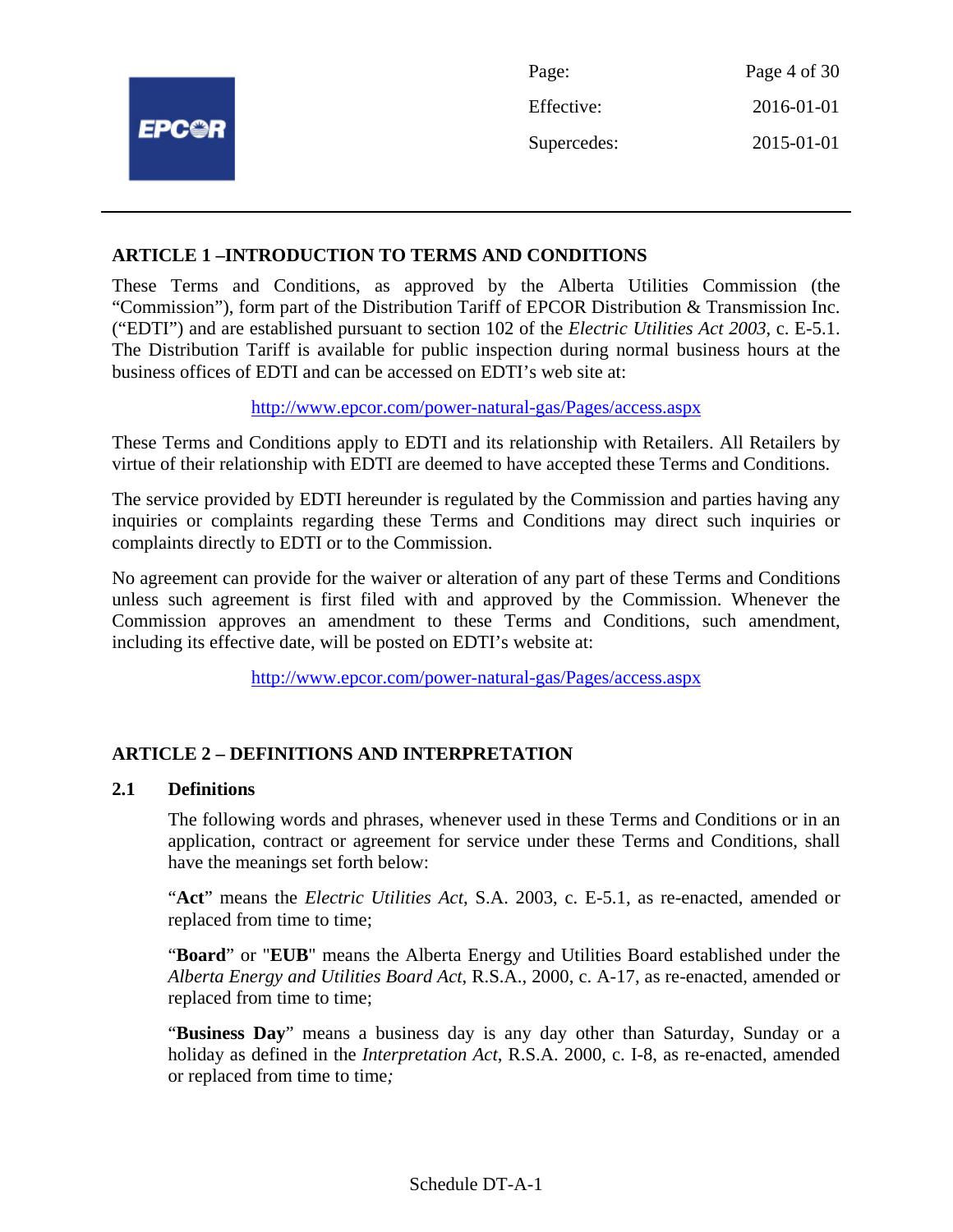|              | Page:       | Page 4 of 30 |
|--------------|-------------|--------------|
|              | Effective:  | 2016-01-01   |
| <b>EPC@R</b> | Supercedes: | 2015-01-01   |
|              |             |              |

#### **ARTICLE 1 –INTRODUCTION TO TERMS AND CONDITIONS**

These Terms and Conditions, as approved by the Alberta Utilities Commission (the "Commission"), form part of the Distribution Tariff of EPCOR Distribution & Transmission Inc. ("EDTI") and are established pursuant to section 102 of the *Electric Utilities Act 2003*, c. E-5.1. The Distribution Tariff is available for public inspection during normal business hours at the business offices of EDTI and can be accessed on EDTI's web site at:

http://www.epcor.com/power-natural-gas/Pages/access.aspx

These Terms and Conditions apply to EDTI and its relationship with Retailers. All Retailers by virtue of their relationship with EDTI are deemed to have accepted these Terms and Conditions.

The service provided by EDTI hereunder is regulated by the Commission and parties having any inquiries or complaints regarding these Terms and Conditions may direct such inquiries or complaints directly to EDTI or to the Commission.

No agreement can provide for the waiver or alteration of any part of these Terms and Conditions unless such agreement is first filed with and approved by the Commission. Whenever the Commission approves an amendment to these Terms and Conditions, such amendment, including its effective date, will be posted on EDTI's website at:

http://www.epcor.com/power-natural-gas/Pages/access.aspx

# **ARTICLE 2 – DEFINITIONS AND INTERPRETATION**

#### **2.1 Definitions**

The following words and phrases, whenever used in these Terms and Conditions or in an application, contract or agreement for service under these Terms and Conditions, shall have the meanings set forth below:

"**Act**" means the *Electric Utilities Act*, S.A. 2003, c. E-5.1, as re-enacted, amended or replaced from time to time;

"**Board**" or "**EUB**" means the Alberta Energy and Utilities Board established under the *Alberta Energy and Utilities Board Act*, R.S.A., 2000, c. A-17, as re-enacted, amended or replaced from time to time;

"**Business Day**" means a business day is any day other than Saturday, Sunday or a holiday as defined in the *Interpretation Act*, R.S.A. 2000, c. I-8, as re-enacted, amended or replaced from time to time*;*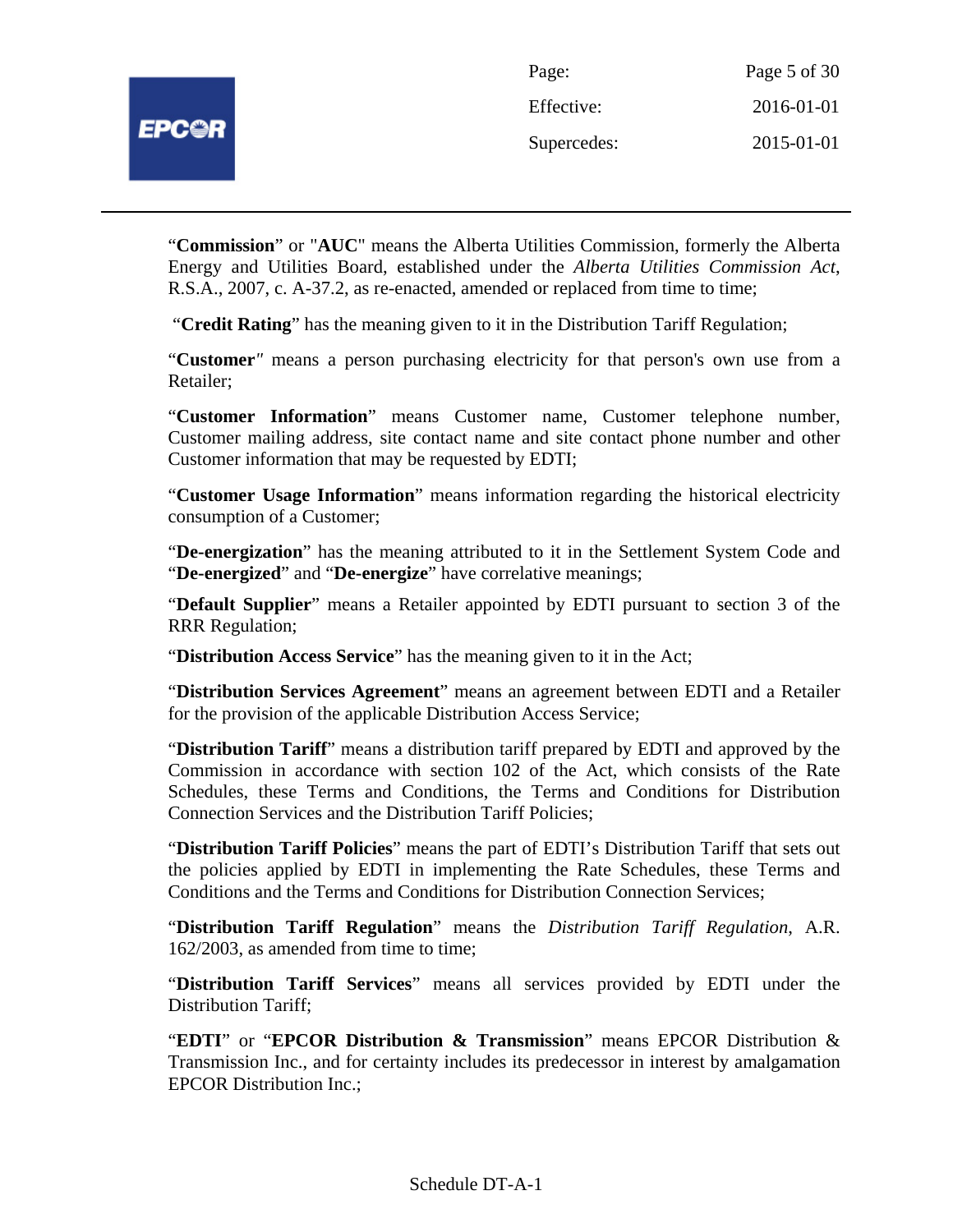| Page:       | Page 5 of 30 |
|-------------|--------------|
| Effective:  | 2016-01-01   |
| Supercedes: | 2015-01-01   |

"**Commission**" or "**AUC**" means the Alberta Utilities Commission, formerly the Alberta Energy and Utilities Board, established under the *Alberta Utilities Commission Act*, R.S.A., 2007, c. A-37.2, as re-enacted, amended or replaced from time to time;

"**Credit Rating**" has the meaning given to it in the Distribution Tariff Regulation;

"**Customer***"* means a person purchasing electricity for that person's own use from a Retailer;

"**Customer Information**" means Customer name, Customer telephone number, Customer mailing address, site contact name and site contact phone number and other Customer information that may be requested by EDTI;

"**Customer Usage Information**" means information regarding the historical electricity consumption of a Customer;

"**De-energization**" has the meaning attributed to it in the Settlement System Code and "**De-energized**" and "**De-energize**" have correlative meanings;

"**Default Supplier**" means a Retailer appointed by EDTI pursuant to section 3 of the RRR Regulation;

"**Distribution Access Service**" has the meaning given to it in the Act;

"**Distribution Services Agreement**" means an agreement between EDTI and a Retailer for the provision of the applicable Distribution Access Service;

"**Distribution Tariff**" means a distribution tariff prepared by EDTI and approved by the Commission in accordance with section 102 of the Act, which consists of the Rate Schedules, these Terms and Conditions, the Terms and Conditions for Distribution Connection Services and the Distribution Tariff Policies;

"**Distribution Tariff Policies**" means the part of EDTI's Distribution Tariff that sets out the policies applied by EDTI in implementing the Rate Schedules, these Terms and Conditions and the Terms and Conditions for Distribution Connection Services;

"**Distribution Tariff Regulation**" means the *Distribution Tariff Regulation*, A.R. 162/2003, as amended from time to time;

"**Distribution Tariff Services**" means all services provided by EDTI under the Distribution Tariff;

"**EDTI**" or "**EPCOR Distribution & Transmission**" means EPCOR Distribution & Transmission Inc., and for certainty includes its predecessor in interest by amalgamation EPCOR Distribution Inc.;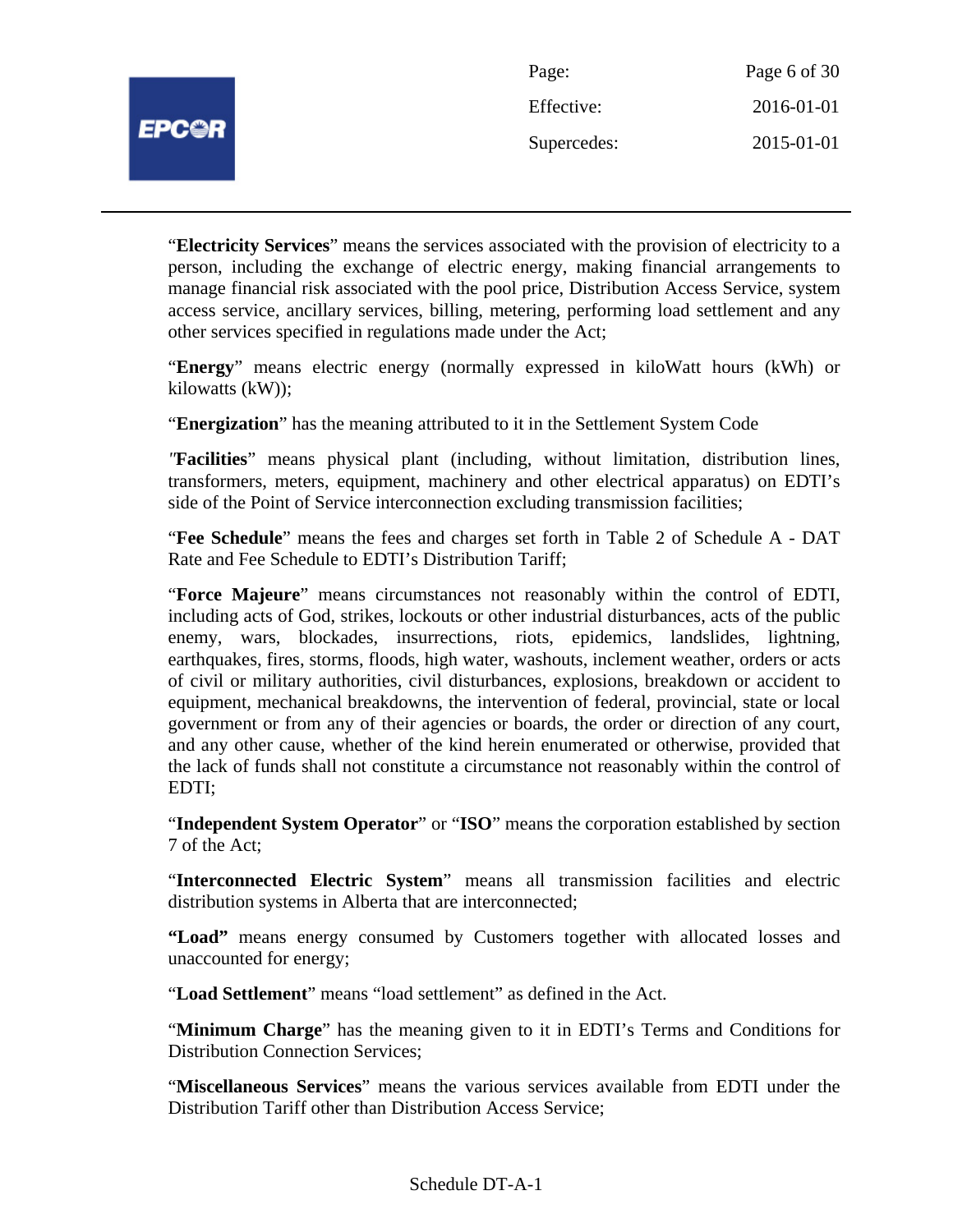| Page:       | Page 6 of 30 |
|-------------|--------------|
| Effective:  | 2016-01-01   |
| Supercedes: | 2015-01-01   |

"**Electricity Services**" means the services associated with the provision of electricity to a person, including the exchange of electric energy, making financial arrangements to manage financial risk associated with the pool price, Distribution Access Service, system access service, ancillary services, billing, metering, performing load settlement and any other services specified in regulations made under the Act;

"**Energy**" means electric energy (normally expressed in kiloWatt hours (kWh) or kilowatts (kW));

"**Energization**" has the meaning attributed to it in the Settlement System Code

*"***Facilities**" means physical plant (including, without limitation, distribution lines, transformers, meters, equipment, machinery and other electrical apparatus) on EDTI's side of the Point of Service interconnection excluding transmission facilities;

"**Fee Schedule**" means the fees and charges set forth in Table 2 of Schedule A - DAT Rate and Fee Schedule to EDTI's Distribution Tariff;

"**Force Majeure**" means circumstances not reasonably within the control of EDTI, including acts of God, strikes, lockouts or other industrial disturbances, acts of the public enemy, wars, blockades, insurrections, riots, epidemics, landslides, lightning, earthquakes, fires, storms, floods, high water, washouts, inclement weather, orders or acts of civil or military authorities, civil disturbances, explosions, breakdown or accident to equipment, mechanical breakdowns, the intervention of federal, provincial, state or local government or from any of their agencies or boards, the order or direction of any court, and any other cause, whether of the kind herein enumerated or otherwise, provided that the lack of funds shall not constitute a circumstance not reasonably within the control of EDTI;

"**Independent System Operator**" or "**ISO**" means the corporation established by section 7 of the Act;

"**Interconnected Electric System**" means all transmission facilities and electric distribution systems in Alberta that are interconnected;

**"Load"** means energy consumed by Customers together with allocated losses and unaccounted for energy;

"**Load Settlement**" means "load settlement" as defined in the Act.

"**Minimum Charge**" has the meaning given to it in EDTI's Terms and Conditions for Distribution Connection Services;

"**Miscellaneous Services**" means the various services available from EDTI under the Distribution Tariff other than Distribution Access Service;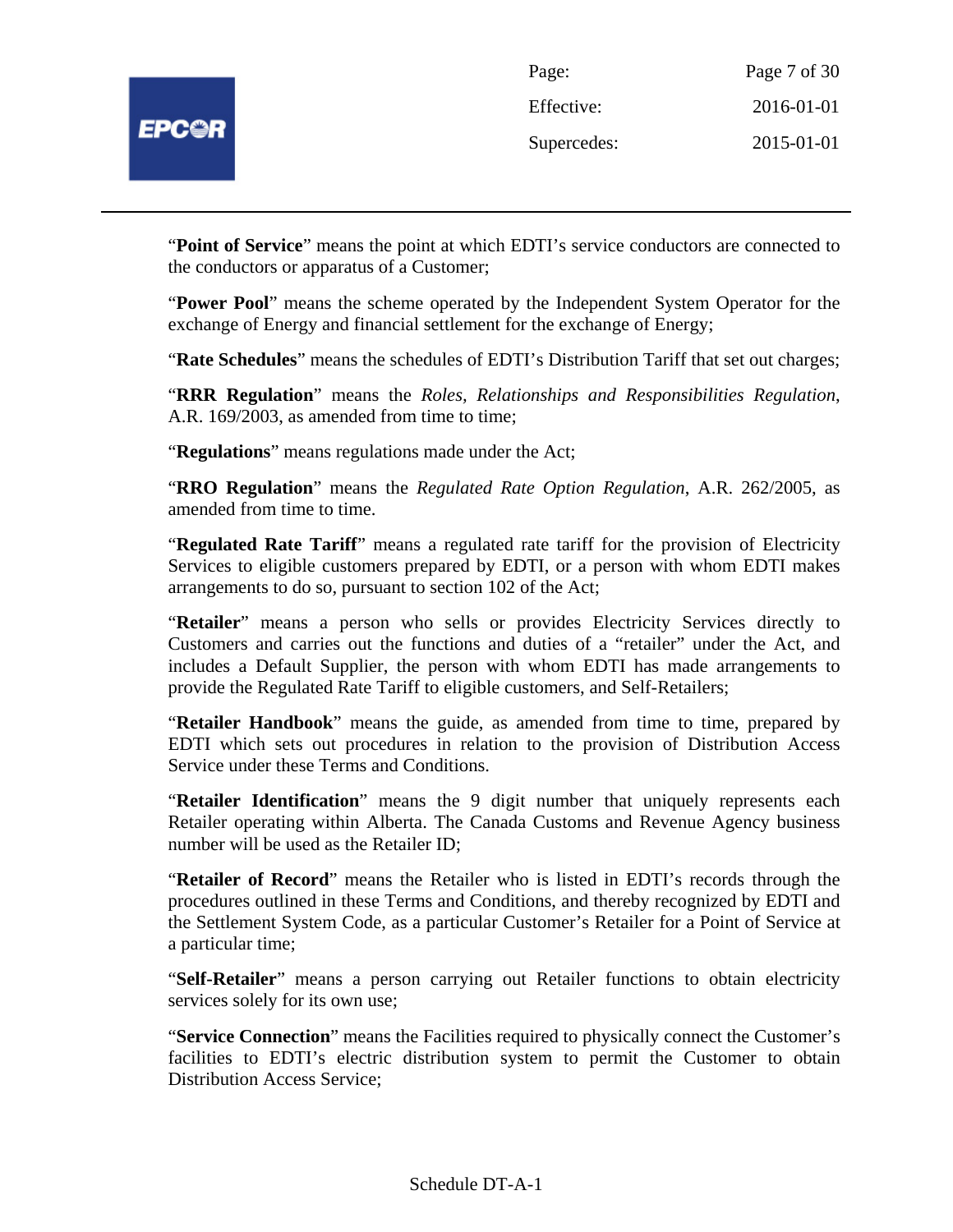

| Page:       | Page 7 of 30 |
|-------------|--------------|
| Effective:  | 2016-01-01   |
| Supercedes: | 2015-01-01   |

"**Point of Service**" means the point at which EDTI's service conductors are connected to the conductors or apparatus of a Customer;

"**Power Pool**" means the scheme operated by the Independent System Operator for the exchange of Energy and financial settlement for the exchange of Energy;

"**Rate Schedules**" means the schedules of EDTI's Distribution Tariff that set out charges;

"**RRR Regulation**" means the *Roles, Relationships and Responsibilities Regulation*, A.R. 169/2003, as amended from time to time;

"**Regulations**" means regulations made under the Act;

"**RRO Regulation**" means the *Regulated Rate Option Regulation*, A.R. 262/2005, as amended from time to time.

"**Regulated Rate Tariff**" means a regulated rate tariff for the provision of Electricity Services to eligible customers prepared by EDTI, or a person with whom EDTI makes arrangements to do so, pursuant to section 102 of the Act;

"**Retailer**" means a person who sells or provides Electricity Services directly to Customers and carries out the functions and duties of a "retailer" under the Act, and includes a Default Supplier, the person with whom EDTI has made arrangements to provide the Regulated Rate Tariff to eligible customers, and Self-Retailers;

"**Retailer Handbook**" means the guide, as amended from time to time, prepared by EDTI which sets out procedures in relation to the provision of Distribution Access Service under these Terms and Conditions.

"**Retailer Identification**" means the 9 digit number that uniquely represents each Retailer operating within Alberta. The Canada Customs and Revenue Agency business number will be used as the Retailer ID;

"**Retailer of Record**" means the Retailer who is listed in EDTI's records through the procedures outlined in these Terms and Conditions, and thereby recognized by EDTI and the Settlement System Code, as a particular Customer's Retailer for a Point of Service at a particular time;

"**Self-Retailer**" means a person carrying out Retailer functions to obtain electricity services solely for its own use;

"**Service Connection**" means the Facilities required to physically connect the Customer's facilities to EDTI's electric distribution system to permit the Customer to obtain Distribution Access Service;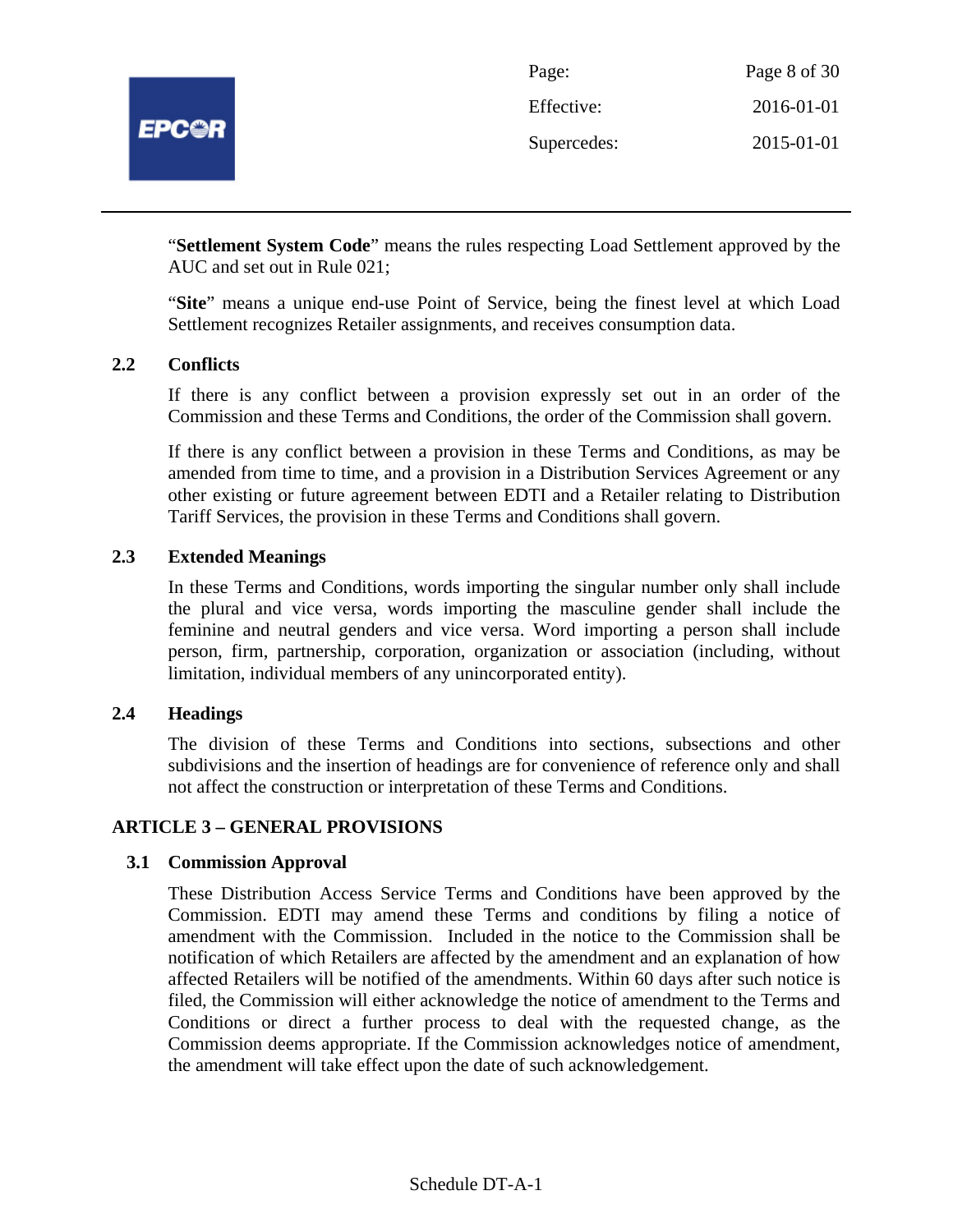

| Page:       | Page 8 of 30 |
|-------------|--------------|
| Effective:  | 2016-01-01   |
| Supercedes: | 2015-01-01   |

"**Settlement System Code**" means the rules respecting Load Settlement approved by the AUC and set out in Rule 021;

"**Site**" means a unique end-use Point of Service, being the finest level at which Load Settlement recognizes Retailer assignments, and receives consumption data.

#### **2.2 Conflicts**

If there is any conflict between a provision expressly set out in an order of the Commission and these Terms and Conditions, the order of the Commission shall govern.

If there is any conflict between a provision in these Terms and Conditions, as may be amended from time to time, and a provision in a Distribution Services Agreement or any other existing or future agreement between EDTI and a Retailer relating to Distribution Tariff Services, the provision in these Terms and Conditions shall govern.

#### **2.3 Extended Meanings**

In these Terms and Conditions, words importing the singular number only shall include the plural and vice versa, words importing the masculine gender shall include the feminine and neutral genders and vice versa. Word importing a person shall include person, firm, partnership, corporation, organization or association (including, without limitation, individual members of any unincorporated entity).

#### **2.4 Headings**

The division of these Terms and Conditions into sections, subsections and other subdivisions and the insertion of headings are for convenience of reference only and shall not affect the construction or interpretation of these Terms and Conditions.

#### **ARTICLE 3 – GENERAL PROVISIONS**

#### **3.1 Commission Approval**

These Distribution Access Service Terms and Conditions have been approved by the Commission. EDTI may amend these Terms and conditions by filing a notice of amendment with the Commission. Included in the notice to the Commission shall be notification of which Retailers are affected by the amendment and an explanation of how affected Retailers will be notified of the amendments. Within 60 days after such notice is filed, the Commission will either acknowledge the notice of amendment to the Terms and Conditions or direct a further process to deal with the requested change, as the Commission deems appropriate. If the Commission acknowledges notice of amendment, the amendment will take effect upon the date of such acknowledgement.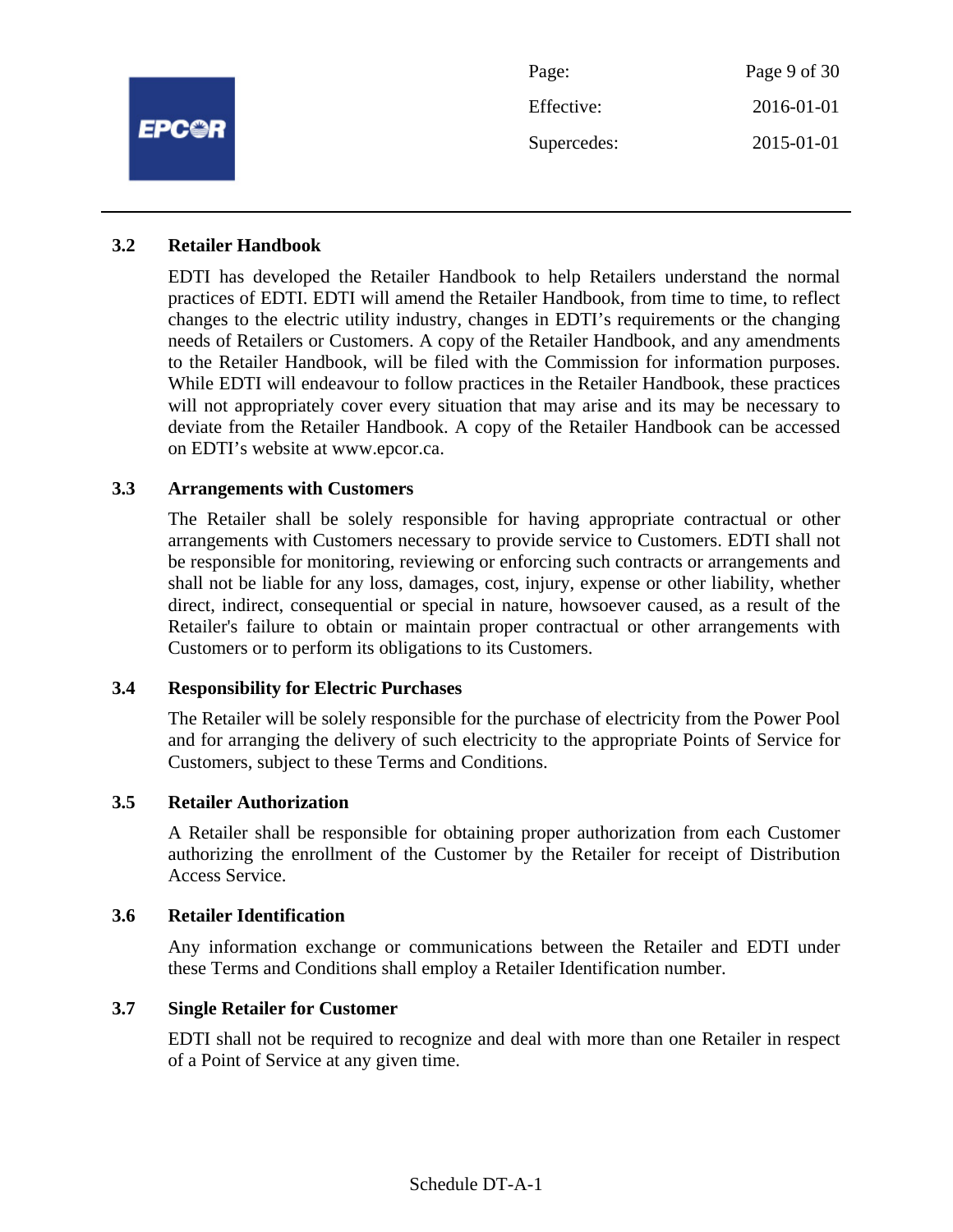

#### **3.2 Retailer Handbook**

EDTI has developed the Retailer Handbook to help Retailers understand the normal practices of EDTI. EDTI will amend the Retailer Handbook, from time to time, to reflect changes to the electric utility industry, changes in EDTI's requirements or the changing needs of Retailers or Customers. A copy of the Retailer Handbook, and any amendments to the Retailer Handbook, will be filed with the Commission for information purposes. While EDTI will endeavour to follow practices in the Retailer Handbook, these practices will not appropriately cover every situation that may arise and its may be necessary to deviate from the Retailer Handbook. A copy of the Retailer Handbook can be accessed on EDTI's website at www.epcor.ca.

#### **3.3 Arrangements with Customers**

The Retailer shall be solely responsible for having appropriate contractual or other arrangements with Customers necessary to provide service to Customers. EDTI shall not be responsible for monitoring, reviewing or enforcing such contracts or arrangements and shall not be liable for any loss, damages, cost, injury, expense or other liability, whether direct, indirect, consequential or special in nature, howsoever caused, as a result of the Retailer's failure to obtain or maintain proper contractual or other arrangements with Customers or to perform its obligations to its Customers.

#### **3.4 Responsibility for Electric Purchases**

The Retailer will be solely responsible for the purchase of electricity from the Power Pool and for arranging the delivery of such electricity to the appropriate Points of Service for Customers, subject to these Terms and Conditions.

#### **3.5 Retailer Authorization**

A Retailer shall be responsible for obtaining proper authorization from each Customer authorizing the enrollment of the Customer by the Retailer for receipt of Distribution Access Service.

#### **3.6 Retailer Identification**

Any information exchange or communications between the Retailer and EDTI under these Terms and Conditions shall employ a Retailer Identification number.

#### **3.7 Single Retailer for Customer**

EDTI shall not be required to recognize and deal with more than one Retailer in respect of a Point of Service at any given time.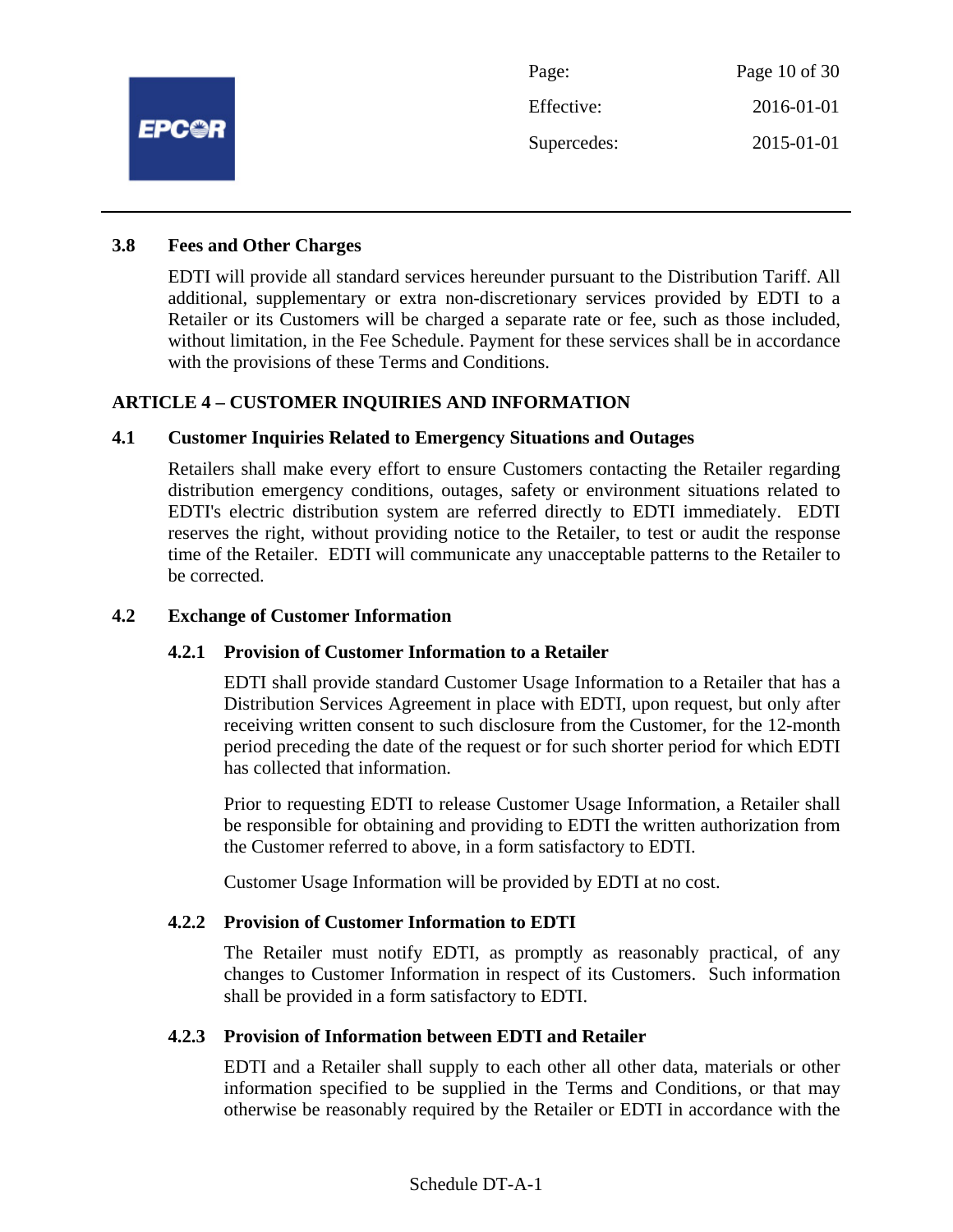

#### **3.8 Fees and Other Charges**

EDTI will provide all standard services hereunder pursuant to the Distribution Tariff. All additional, supplementary or extra non-discretionary services provided by EDTI to a Retailer or its Customers will be charged a separate rate or fee, such as those included, without limitation, in the Fee Schedule. Payment for these services shall be in accordance with the provisions of these Terms and Conditions.

# **ARTICLE 4 – CUSTOMER INQUIRIES AND INFORMATION**

#### **4.1 Customer Inquiries Related to Emergency Situations and Outages**

Retailers shall make every effort to ensure Customers contacting the Retailer regarding distribution emergency conditions, outages, safety or environment situations related to EDTI's electric distribution system are referred directly to EDTI immediately. EDTI reserves the right, without providing notice to the Retailer, to test or audit the response time of the Retailer. EDTI will communicate any unacceptable patterns to the Retailer to be corrected.

#### **4.2 Exchange of Customer Information**

#### **4.2.1 Provision of Customer Information to a Retailer**

EDTI shall provide standard Customer Usage Information to a Retailer that has a Distribution Services Agreement in place with EDTI, upon request, but only after receiving written consent to such disclosure from the Customer, for the 12-month period preceding the date of the request or for such shorter period for which EDTI has collected that information.

Prior to requesting EDTI to release Customer Usage Information, a Retailer shall be responsible for obtaining and providing to EDTI the written authorization from the Customer referred to above, in a form satisfactory to EDTI.

Customer Usage Information will be provided by EDTI at no cost.

#### **4.2.2 Provision of Customer Information to EDTI**

The Retailer must notify EDTI, as promptly as reasonably practical, of any changes to Customer Information in respect of its Customers. Such information shall be provided in a form satisfactory to EDTI.

#### **4.2.3 Provision of Information between EDTI and Retailer**

EDTI and a Retailer shall supply to each other all other data, materials or other information specified to be supplied in the Terms and Conditions, or that may otherwise be reasonably required by the Retailer or EDTI in accordance with the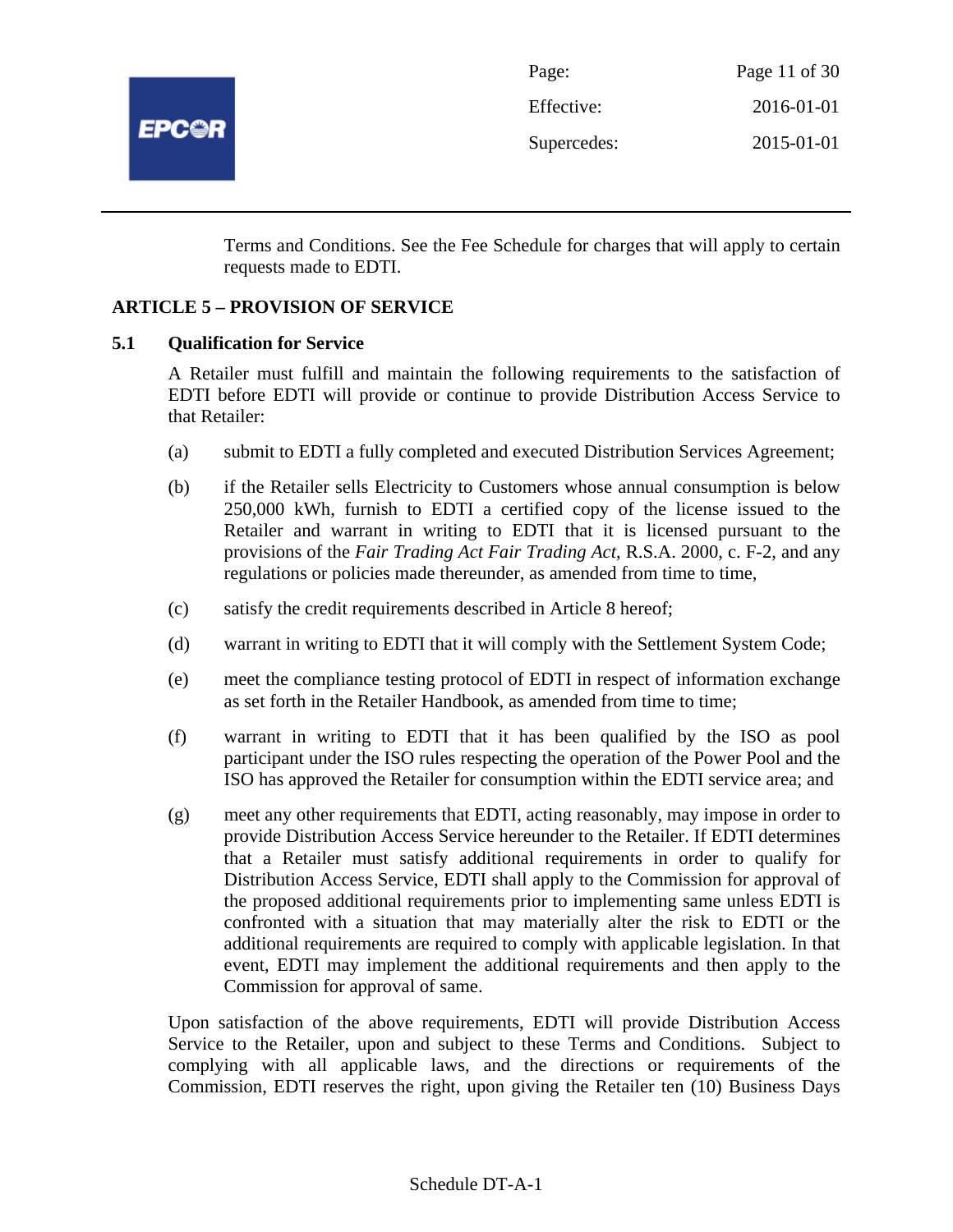

| Page:       | Page 11 of $30$ |
|-------------|-----------------|
| Effective:  | 2016-01-01      |
| Supercedes: | 2015-01-01      |

Terms and Conditions. See the Fee Schedule for charges that will apply to certain requests made to EDTI.

#### **ARTICLE 5 – PROVISION OF SERVICE**

#### **5.1 Qualification for Service**

A Retailer must fulfill and maintain the following requirements to the satisfaction of EDTI before EDTI will provide or continue to provide Distribution Access Service to that Retailer:

- (a) submit to EDTI a fully completed and executed Distribution Services Agreement;
- (b) if the Retailer sells Electricity to Customers whose annual consumption is below 250,000 kWh, furnish to EDTI a certified copy of the license issued to the Retailer and warrant in writing to EDTI that it is licensed pursuant to the provisions of the *Fair Trading Act Fair Trading Act*, R.S.A. 2000, c. F-2, and any regulations or policies made thereunder, as amended from time to time,
- (c) satisfy the credit requirements described in Article 8 hereof;
- (d) warrant in writing to EDTI that it will comply with the Settlement System Code;
- (e) meet the compliance testing protocol of EDTI in respect of information exchange as set forth in the Retailer Handbook, as amended from time to time;
- (f) warrant in writing to EDTI that it has been qualified by the ISO as pool participant under the ISO rules respecting the operation of the Power Pool and the ISO has approved the Retailer for consumption within the EDTI service area; and
- (g) meet any other requirements that EDTI, acting reasonably, may impose in order to provide Distribution Access Service hereunder to the Retailer. If EDTI determines that a Retailer must satisfy additional requirements in order to qualify for Distribution Access Service, EDTI shall apply to the Commission for approval of the proposed additional requirements prior to implementing same unless EDTI is confronted with a situation that may materially alter the risk to EDTI or the additional requirements are required to comply with applicable legislation. In that event, EDTI may implement the additional requirements and then apply to the Commission for approval of same.

Upon satisfaction of the above requirements, EDTI will provide Distribution Access Service to the Retailer, upon and subject to these Terms and Conditions. Subject to complying with all applicable laws, and the directions or requirements of the Commission, EDTI reserves the right, upon giving the Retailer ten (10) Business Days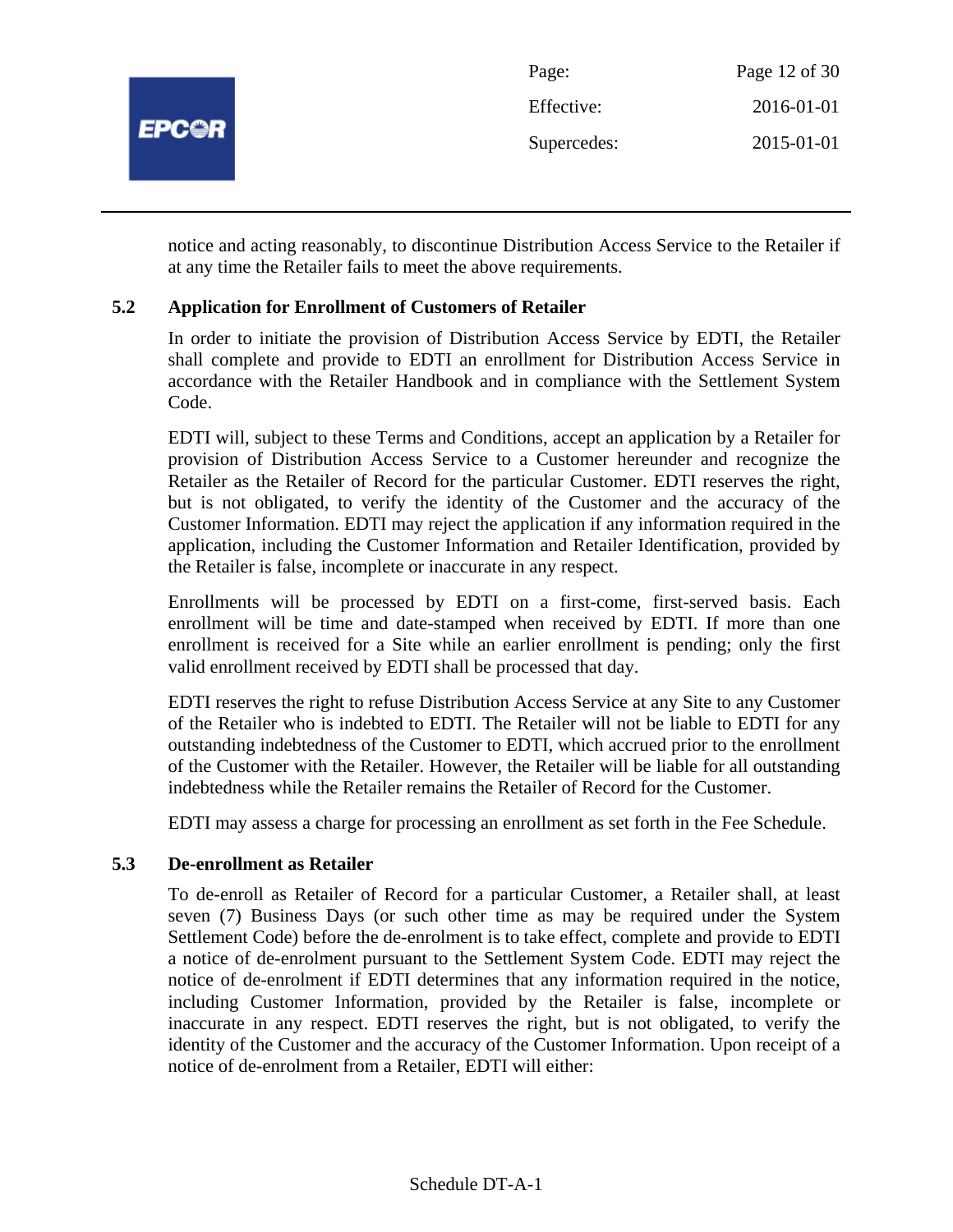

notice and acting reasonably, to discontinue Distribution Access Service to the Retailer if at any time the Retailer fails to meet the above requirements.

# **5.2 Application for Enrollment of Customers of Retailer**

In order to initiate the provision of Distribution Access Service by EDTI, the Retailer shall complete and provide to EDTI an enrollment for Distribution Access Service in accordance with the Retailer Handbook and in compliance with the Settlement System Code.

EDTI will, subject to these Terms and Conditions, accept an application by a Retailer for provision of Distribution Access Service to a Customer hereunder and recognize the Retailer as the Retailer of Record for the particular Customer. EDTI reserves the right, but is not obligated, to verify the identity of the Customer and the accuracy of the Customer Information. EDTI may reject the application if any information required in the application, including the Customer Information and Retailer Identification, provided by the Retailer is false, incomplete or inaccurate in any respect.

Enrollments will be processed by EDTI on a first-come, first-served basis. Each enrollment will be time and date-stamped when received by EDTI. If more than one enrollment is received for a Site while an earlier enrollment is pending; only the first valid enrollment received by EDTI shall be processed that day.

EDTI reserves the right to refuse Distribution Access Service at any Site to any Customer of the Retailer who is indebted to EDTI. The Retailer will not be liable to EDTI for any outstanding indebtedness of the Customer to EDTI, which accrued prior to the enrollment of the Customer with the Retailer. However, the Retailer will be liable for all outstanding indebtedness while the Retailer remains the Retailer of Record for the Customer.

EDTI may assess a charge for processing an enrollment as set forth in the Fee Schedule.

#### **5.3 De-enrollment as Retailer**

To de-enroll as Retailer of Record for a particular Customer, a Retailer shall, at least seven (7) Business Days (or such other time as may be required under the System Settlement Code) before the de-enrolment is to take effect, complete and provide to EDTI a notice of de-enrolment pursuant to the Settlement System Code. EDTI may reject the notice of de-enrolment if EDTI determines that any information required in the notice, including Customer Information, provided by the Retailer is false, incomplete or inaccurate in any respect. EDTI reserves the right, but is not obligated, to verify the identity of the Customer and the accuracy of the Customer Information. Upon receipt of a notice of de-enrolment from a Retailer, EDTI will either: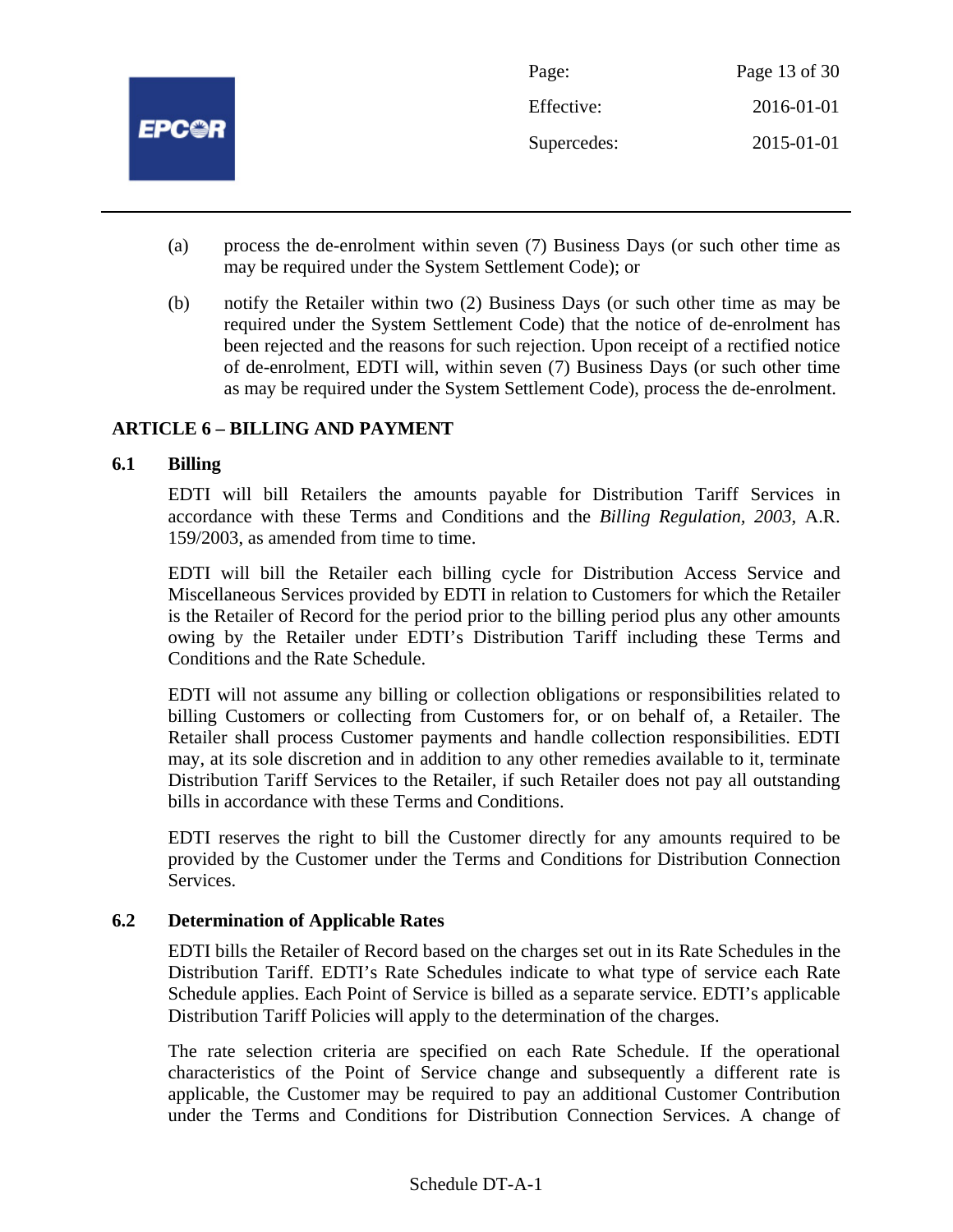

- (a) process the de-enrolment within seven (7) Business Days (or such other time as may be required under the System Settlement Code); or
- (b) notify the Retailer within two (2) Business Days (or such other time as may be required under the System Settlement Code) that the notice of de-enrolment has been rejected and the reasons for such rejection. Upon receipt of a rectified notice of de-enrolment, EDTI will, within seven (7) Business Days (or such other time as may be required under the System Settlement Code), process the de-enrolment.

# **ARTICLE 6 – BILLING AND PAYMENT**

#### **6.1 Billing**

EDTI will bill Retailers the amounts payable for Distribution Tariff Services in accordance with these Terms and Conditions and the *Billing Regulation, 2003*, A.R. 159/2003, as amended from time to time.

EDTI will bill the Retailer each billing cycle for Distribution Access Service and Miscellaneous Services provided by EDTI in relation to Customers for which the Retailer is the Retailer of Record for the period prior to the billing period plus any other amounts owing by the Retailer under EDTI's Distribution Tariff including these Terms and Conditions and the Rate Schedule.

EDTI will not assume any billing or collection obligations or responsibilities related to billing Customers or collecting from Customers for, or on behalf of, a Retailer. The Retailer shall process Customer payments and handle collection responsibilities. EDTI may, at its sole discretion and in addition to any other remedies available to it, terminate Distribution Tariff Services to the Retailer, if such Retailer does not pay all outstanding bills in accordance with these Terms and Conditions.

EDTI reserves the right to bill the Customer directly for any amounts required to be provided by the Customer under the Terms and Conditions for Distribution Connection Services.

#### **6.2 Determination of Applicable Rates**

EDTI bills the Retailer of Record based on the charges set out in its Rate Schedules in the Distribution Tariff. EDTI's Rate Schedules indicate to what type of service each Rate Schedule applies. Each Point of Service is billed as a separate service. EDTI's applicable Distribution Tariff Policies will apply to the determination of the charges.

The rate selection criteria are specified on each Rate Schedule. If the operational characteristics of the Point of Service change and subsequently a different rate is applicable, the Customer may be required to pay an additional Customer Contribution under the Terms and Conditions for Distribution Connection Services. A change of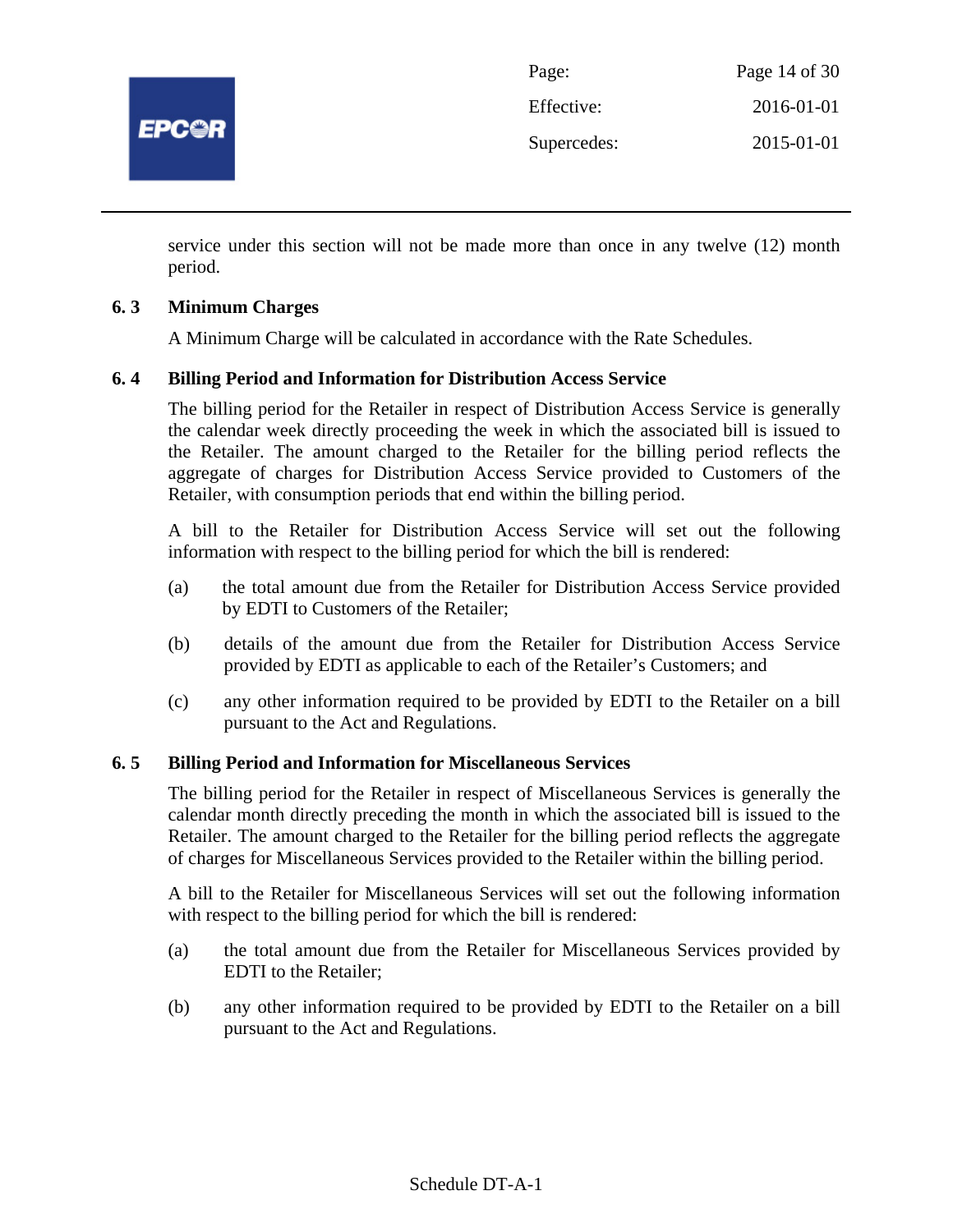

| Page:       | Page 14 of 30 |
|-------------|---------------|
| Effective:  | 2016-01-01    |
| Supercedes: | 2015-01-01    |

service under this section will not be made more than once in any twelve (12) month period.

# **6. 3 Minimum Charges**

A Minimum Charge will be calculated in accordance with the Rate Schedules.

#### **6. 4 Billing Period and Information for Distribution Access Service**

The billing period for the Retailer in respect of Distribution Access Service is generally the calendar week directly proceeding the week in which the associated bill is issued to the Retailer. The amount charged to the Retailer for the billing period reflects the aggregate of charges for Distribution Access Service provided to Customers of the Retailer, with consumption periods that end within the billing period.

A bill to the Retailer for Distribution Access Service will set out the following information with respect to the billing period for which the bill is rendered:

- (a) the total amount due from the Retailer for Distribution Access Service provided by EDTI to Customers of the Retailer;
- (b) details of the amount due from the Retailer for Distribution Access Service provided by EDTI as applicable to each of the Retailer's Customers; and
- (c) any other information required to be provided by EDTI to the Retailer on a bill pursuant to the Act and Regulations.

#### **6. 5 Billing Period and Information for Miscellaneous Services**

The billing period for the Retailer in respect of Miscellaneous Services is generally the calendar month directly preceding the month in which the associated bill is issued to the Retailer. The amount charged to the Retailer for the billing period reflects the aggregate of charges for Miscellaneous Services provided to the Retailer within the billing period.

A bill to the Retailer for Miscellaneous Services will set out the following information with respect to the billing period for which the bill is rendered:

- (a) the total amount due from the Retailer for Miscellaneous Services provided by EDTI to the Retailer;
- (b) any other information required to be provided by EDTI to the Retailer on a bill pursuant to the Act and Regulations.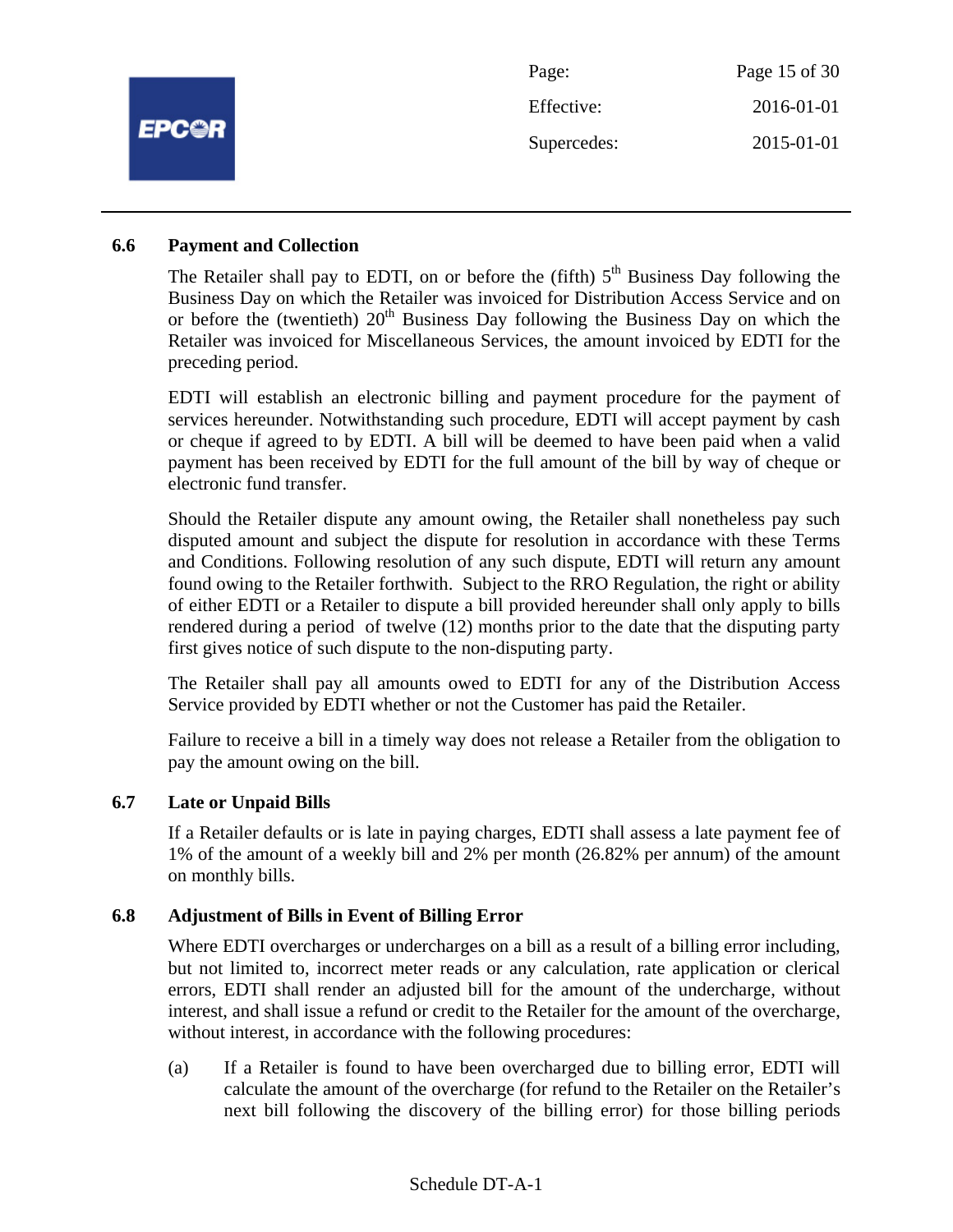|              | Page:       | Page 15 of 30 |
|--------------|-------------|---------------|
|              | Effective:  | 2016-01-01    |
| <b>EPC@R</b> | Supercedes: | 2015-01-01    |
|              |             |               |

#### **6.6 Payment and Collection**

The Retailer shall pay to EDTI, on or before the (fifth)  $5<sup>th</sup>$  Business Day following the Business Day on which the Retailer was invoiced for Distribution Access Service and on or before the (twentieth)  $20<sup>th</sup>$  Business Day following the Business Day on which the Retailer was invoiced for Miscellaneous Services, the amount invoiced by EDTI for the preceding period.

EDTI will establish an electronic billing and payment procedure for the payment of services hereunder. Notwithstanding such procedure, EDTI will accept payment by cash or cheque if agreed to by EDTI. A bill will be deemed to have been paid when a valid payment has been received by EDTI for the full amount of the bill by way of cheque or electronic fund transfer.

Should the Retailer dispute any amount owing, the Retailer shall nonetheless pay such disputed amount and subject the dispute for resolution in accordance with these Terms and Conditions. Following resolution of any such dispute, EDTI will return any amount found owing to the Retailer forthwith. Subject to the RRO Regulation, the right or ability of either EDTI or a Retailer to dispute a bill provided hereunder shall only apply to bills rendered during a period of twelve (12) months prior to the date that the disputing party first gives notice of such dispute to the non-disputing party.

The Retailer shall pay all amounts owed to EDTI for any of the Distribution Access Service provided by EDTI whether or not the Customer has paid the Retailer.

Failure to receive a bill in a timely way does not release a Retailer from the obligation to pay the amount owing on the bill.

#### **6.7 Late or Unpaid Bills**

If a Retailer defaults or is late in paying charges, EDTI shall assess a late payment fee of 1% of the amount of a weekly bill and 2% per month (26.82% per annum) of the amount on monthly bills.

#### **6.8 Adjustment of Bills in Event of Billing Error**

Where EDTI overcharges or undercharges on a bill as a result of a billing error including, but not limited to, incorrect meter reads or any calculation, rate application or clerical errors, EDTI shall render an adjusted bill for the amount of the undercharge, without interest, and shall issue a refund or credit to the Retailer for the amount of the overcharge, without interest, in accordance with the following procedures:

(a) If a Retailer is found to have been overcharged due to billing error, EDTI will calculate the amount of the overcharge (for refund to the Retailer on the Retailer's next bill following the discovery of the billing error) for those billing periods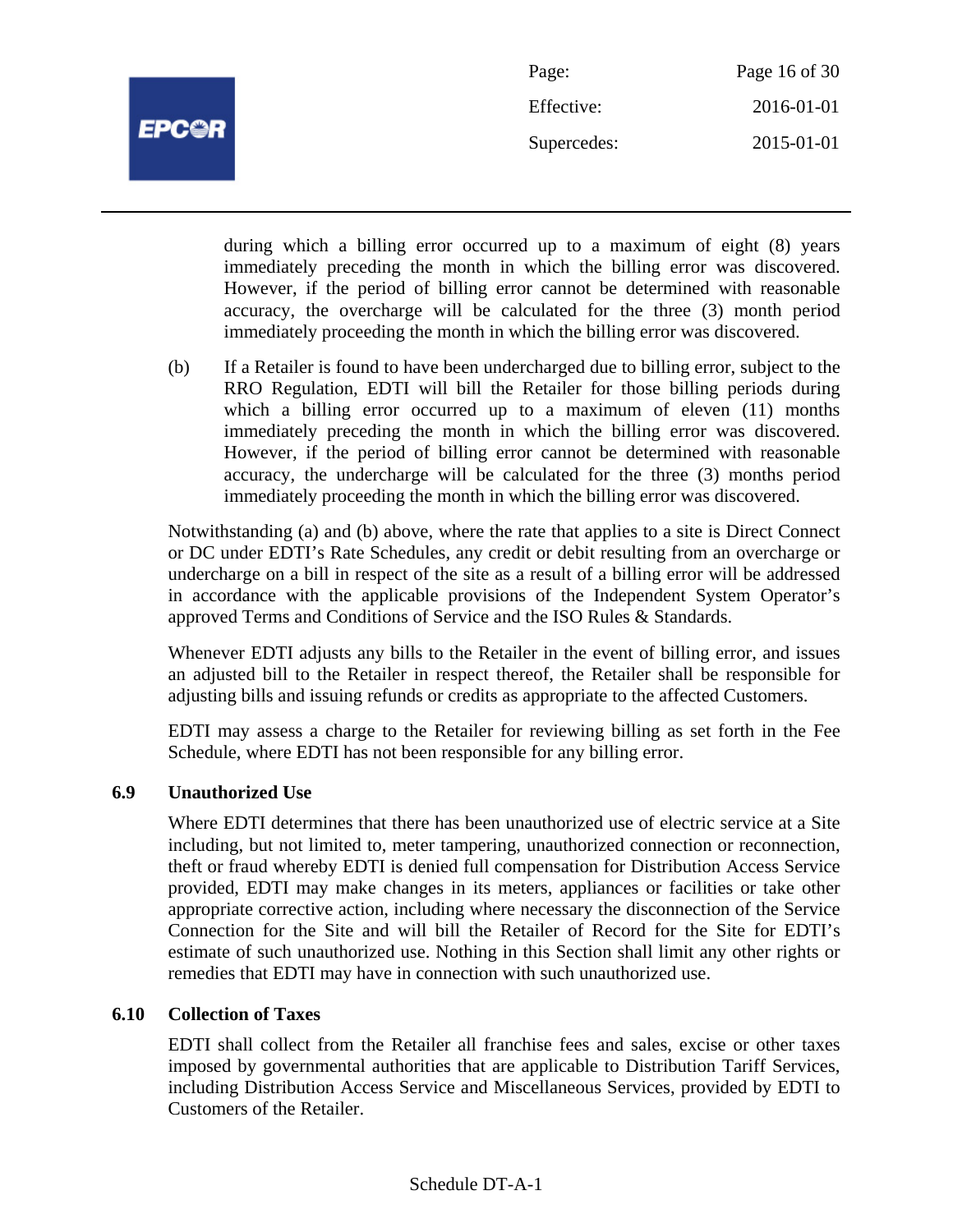

| Page:       | Page 16 of 30 |
|-------------|---------------|
| Effective:  | 2016-01-01    |
| Supercedes: | 2015-01-01    |

during which a billing error occurred up to a maximum of eight (8) years immediately preceding the month in which the billing error was discovered. However, if the period of billing error cannot be determined with reasonable accuracy, the overcharge will be calculated for the three (3) month period immediately proceeding the month in which the billing error was discovered.

(b) If a Retailer is found to have been undercharged due to billing error, subject to the RRO Regulation, EDTI will bill the Retailer for those billing periods during which a billing error occurred up to a maximum of eleven (11) months immediately preceding the month in which the billing error was discovered. However, if the period of billing error cannot be determined with reasonable accuracy, the undercharge will be calculated for the three (3) months period immediately proceeding the month in which the billing error was discovered.

Notwithstanding (a) and (b) above, where the rate that applies to a site is Direct Connect or DC under EDTI's Rate Schedules, any credit or debit resulting from an overcharge or undercharge on a bill in respect of the site as a result of a billing error will be addressed in accordance with the applicable provisions of the Independent System Operator's approved Terms and Conditions of Service and the ISO Rules & Standards.

Whenever EDTI adjusts any bills to the Retailer in the event of billing error, and issues an adjusted bill to the Retailer in respect thereof, the Retailer shall be responsible for adjusting bills and issuing refunds or credits as appropriate to the affected Customers.

EDTI may assess a charge to the Retailer for reviewing billing as set forth in the Fee Schedule, where EDTI has not been responsible for any billing error.

# **6.9 Unauthorized Use**

Where EDTI determines that there has been unauthorized use of electric service at a Site including, but not limited to, meter tampering, unauthorized connection or reconnection, theft or fraud whereby EDTI is denied full compensation for Distribution Access Service provided, EDTI may make changes in its meters, appliances or facilities or take other appropriate corrective action, including where necessary the disconnection of the Service Connection for the Site and will bill the Retailer of Record for the Site for EDTI's estimate of such unauthorized use. Nothing in this Section shall limit any other rights or remedies that EDTI may have in connection with such unauthorized use.

# **6.10 Collection of Taxes**

EDTI shall collect from the Retailer all franchise fees and sales, excise or other taxes imposed by governmental authorities that are applicable to Distribution Tariff Services, including Distribution Access Service and Miscellaneous Services, provided by EDTI to Customers of the Retailer.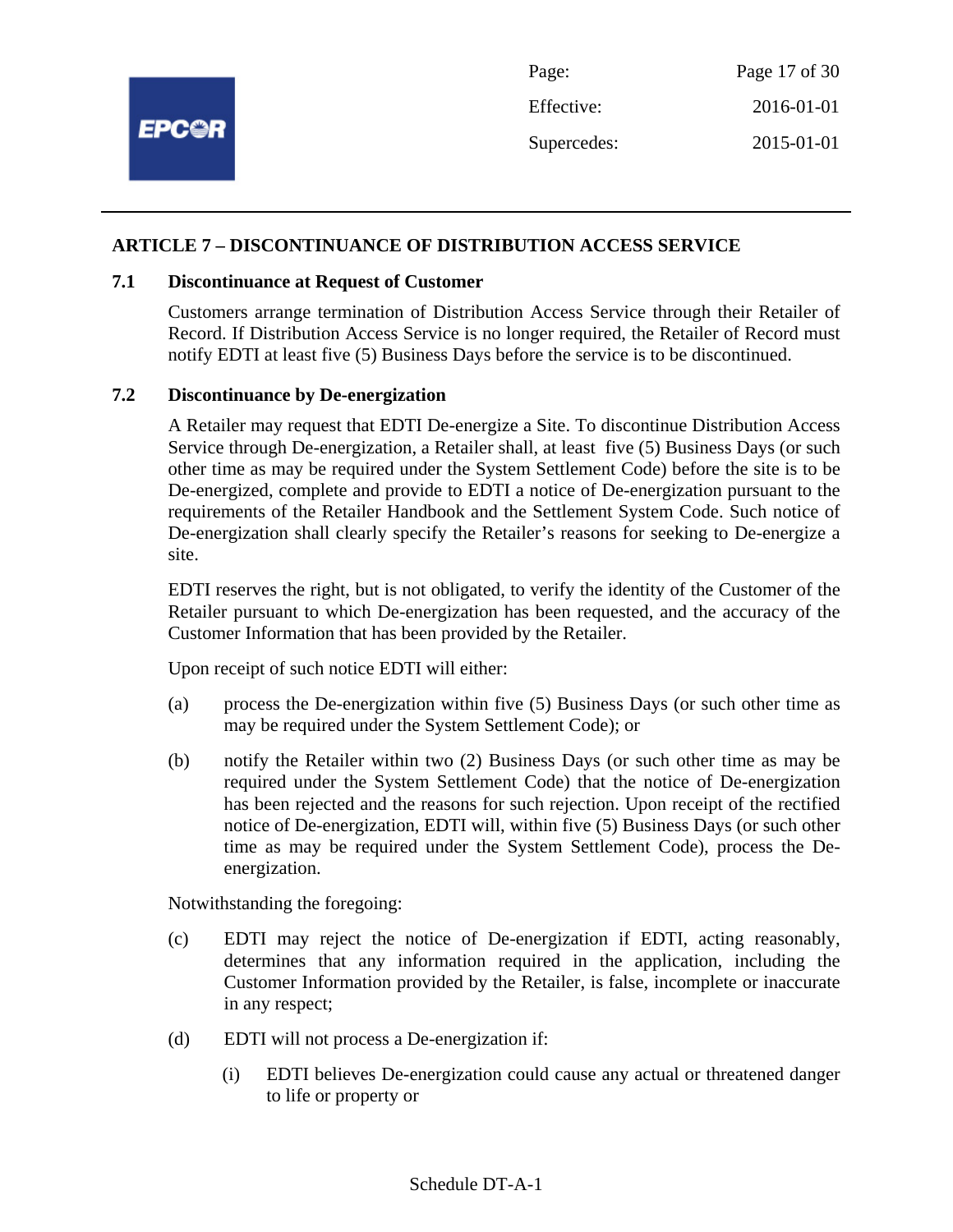

#### **ARTICLE 7 – DISCONTINUANCE OF DISTRIBUTION ACCESS SERVICE**

#### **7.1 Discontinuance at Request of Customer**

Customers arrange termination of Distribution Access Service through their Retailer of Record. If Distribution Access Service is no longer required, the Retailer of Record must notify EDTI at least five (5) Business Days before the service is to be discontinued.

#### **7.2 Discontinuance by De-energization**

A Retailer may request that EDTI De-energize a Site. To discontinue Distribution Access Service through De-energization, a Retailer shall, at least five (5) Business Days (or such other time as may be required under the System Settlement Code) before the site is to be De-energized, complete and provide to EDTI a notice of De-energization pursuant to the requirements of the Retailer Handbook and the Settlement System Code. Such notice of De-energization shall clearly specify the Retailer's reasons for seeking to De-energize a site.

EDTI reserves the right, but is not obligated, to verify the identity of the Customer of the Retailer pursuant to which De-energization has been requested, and the accuracy of the Customer Information that has been provided by the Retailer.

Upon receipt of such notice EDTI will either:

- (a) process the De-energization within five (5) Business Days (or such other time as may be required under the System Settlement Code); or
- (b) notify the Retailer within two (2) Business Days (or such other time as may be required under the System Settlement Code) that the notice of De-energization has been rejected and the reasons for such rejection. Upon receipt of the rectified notice of De-energization, EDTI will, within five (5) Business Days (or such other time as may be required under the System Settlement Code), process the Deenergization.

Notwithstanding the foregoing:

- (c) EDTI may reject the notice of De-energization if EDTI, acting reasonably, determines that any information required in the application, including the Customer Information provided by the Retailer, is false, incomplete or inaccurate in any respect;
- (d) EDTI will not process a De-energization if:
	- (i) EDTI believes De-energization could cause any actual or threatened danger to life or property or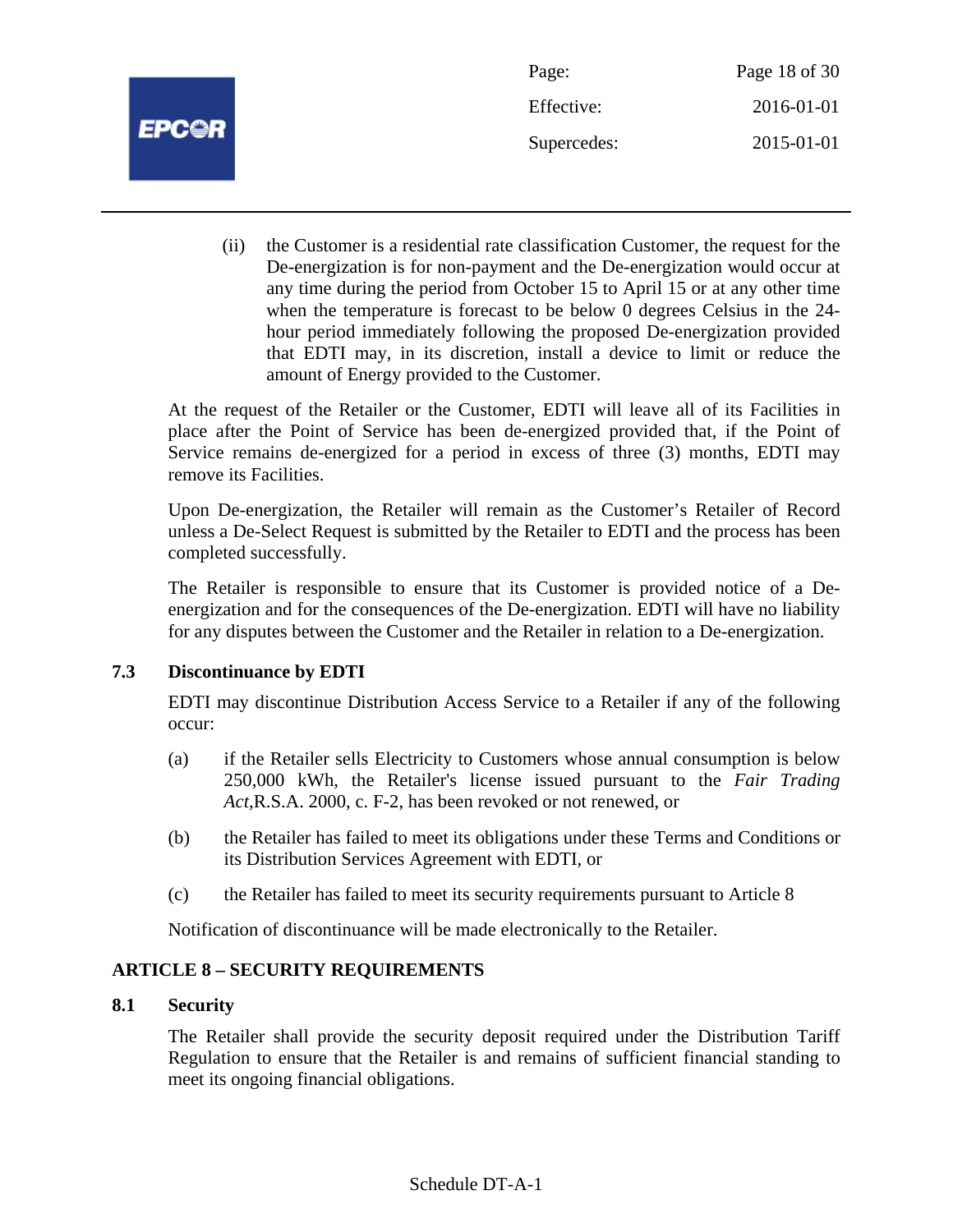

Page: Page 18 of 30 Effective: 2016-01-01 Supercedes: 2015-01-01

(ii) the Customer is a residential rate classification Customer, the request for the De-energization is for non-payment and the De-energization would occur at any time during the period from October 15 to April 15 or at any other time when the temperature is forecast to be below 0 degrees Celsius in the 24 hour period immediately following the proposed De-energization provided that EDTI may, in its discretion, install a device to limit or reduce the amount of Energy provided to the Customer.

At the request of the Retailer or the Customer, EDTI will leave all of its Facilities in place after the Point of Service has been de-energized provided that, if the Point of Service remains de-energized for a period in excess of three (3) months, EDTI may remove its Facilities.

Upon De-energization, the Retailer will remain as the Customer's Retailer of Record unless a De-Select Request is submitted by the Retailer to EDTI and the process has been completed successfully.

The Retailer is responsible to ensure that its Customer is provided notice of a Deenergization and for the consequences of the De-energization. EDTI will have no liability for any disputes between the Customer and the Retailer in relation to a De-energization.

# **7.3 Discontinuance by EDTI**

EDTI may discontinue Distribution Access Service to a Retailer if any of the following occur:

- (a) if the Retailer sells Electricity to Customers whose annual consumption is below 250,000 kWh, the Retailer's license issued pursuant to the *Fair Trading Act,*R.S.A. 2000, c. F-2, has been revoked or not renewed, or
- (b) the Retailer has failed to meet its obligations under these Terms and Conditions or its Distribution Services Agreement with EDTI, or
- (c) the Retailer has failed to meet its security requirements pursuant to Article 8

Notification of discontinuance will be made electronically to the Retailer.

# **ARTICLE 8 – SECURITY REQUIREMENTS**

# **8.1 Security**

The Retailer shall provide the security deposit required under the Distribution Tariff Regulation to ensure that the Retailer is and remains of sufficient financial standing to meet its ongoing financial obligations.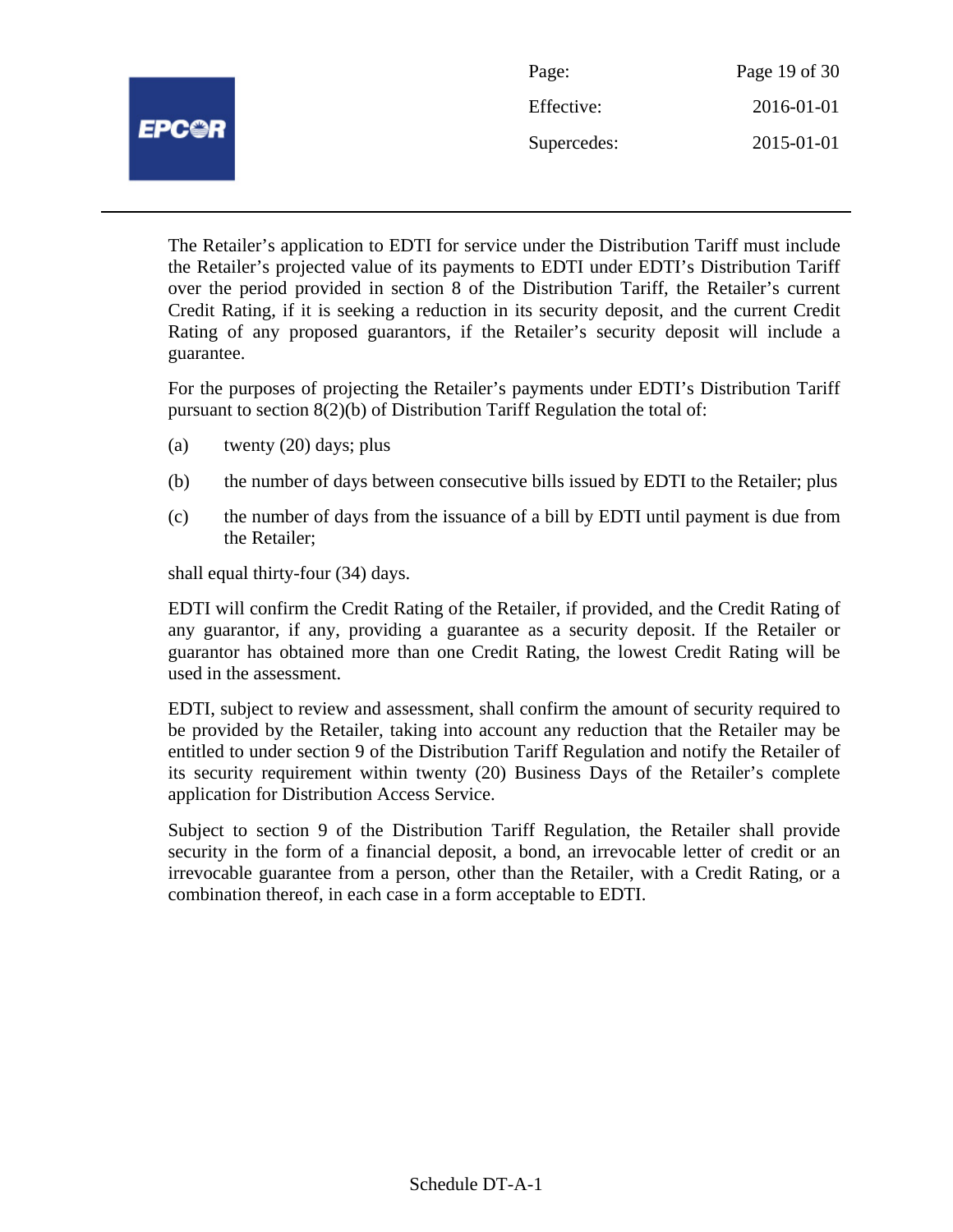|              | Page:       | Page 19 of 30 |
|--------------|-------------|---------------|
| <b>EPC@R</b> | Effective:  | 2016-01-01    |
|              | Supercedes: | 2015-01-01    |
|              |             |               |

The Retailer's application to EDTI for service under the Distribution Tariff must include the Retailer's projected value of its payments to EDTI under EDTI's Distribution Tariff over the period provided in section 8 of the Distribution Tariff, the Retailer's current Credit Rating, if it is seeking a reduction in its security deposit, and the current Credit Rating of any proposed guarantors, if the Retailer's security deposit will include a guarantee.

For the purposes of projecting the Retailer's payments under EDTI's Distribution Tariff pursuant to section 8(2)(b) of Distribution Tariff Regulation the total of:

- (a) twenty  $(20)$  days; plus
- (b) the number of days between consecutive bills issued by EDTI to the Retailer; plus
- (c) the number of days from the issuance of a bill by EDTI until payment is due from the Retailer;

shall equal thirty-four (34) days.

EDTI will confirm the Credit Rating of the Retailer, if provided, and the Credit Rating of any guarantor, if any, providing a guarantee as a security deposit. If the Retailer or guarantor has obtained more than one Credit Rating, the lowest Credit Rating will be used in the assessment.

EDTI, subject to review and assessment, shall confirm the amount of security required to be provided by the Retailer, taking into account any reduction that the Retailer may be entitled to under section 9 of the Distribution Tariff Regulation and notify the Retailer of its security requirement within twenty (20) Business Days of the Retailer's complete application for Distribution Access Service.

Subject to section 9 of the Distribution Tariff Regulation, the Retailer shall provide security in the form of a financial deposit, a bond, an irrevocable letter of credit or an irrevocable guarantee from a person, other than the Retailer, with a Credit Rating, or a combination thereof, in each case in a form acceptable to EDTI.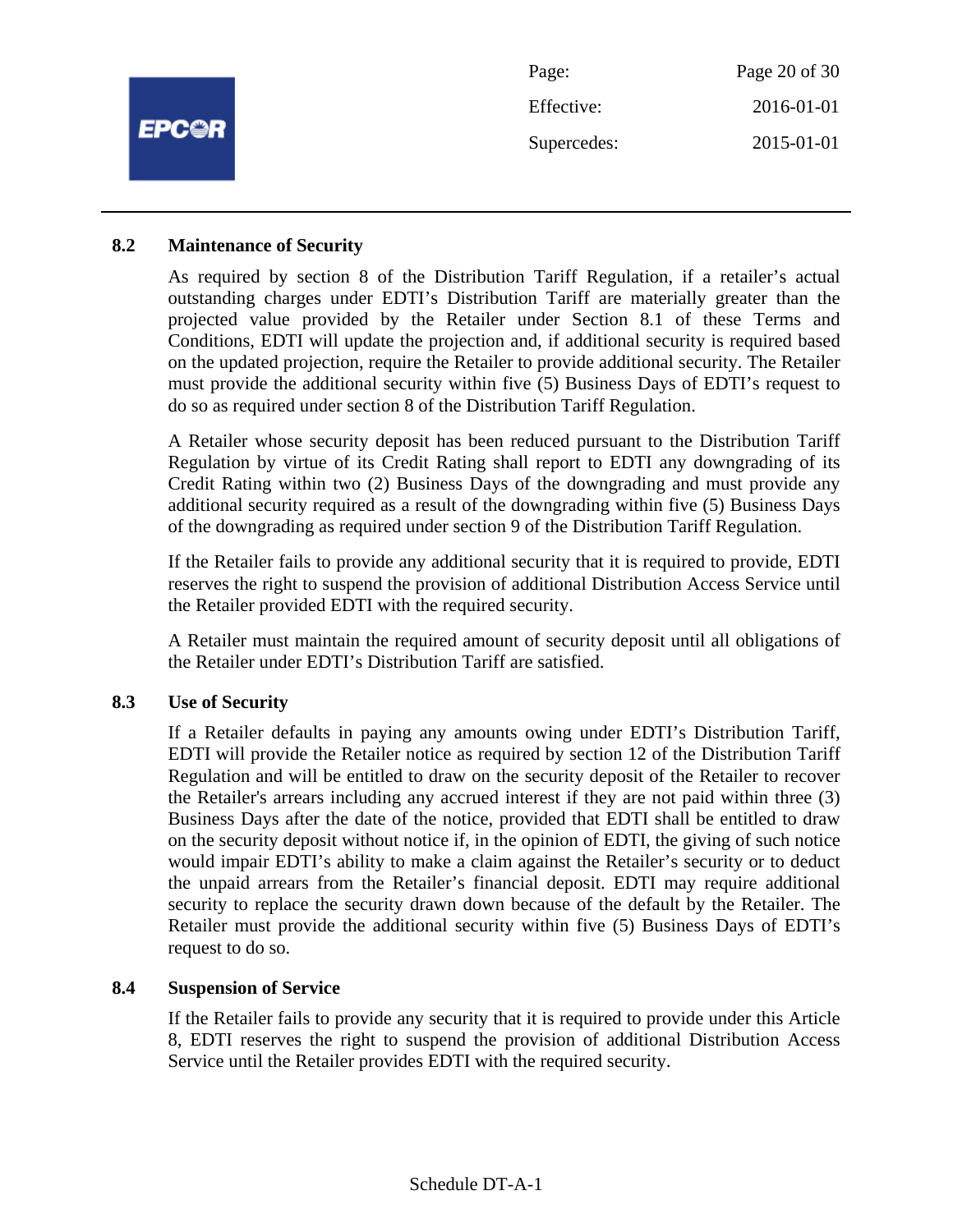

#### **8.2 Maintenance of Security**

As required by section 8 of the Distribution Tariff Regulation, if a retailer's actual outstanding charges under EDTI's Distribution Tariff are materially greater than the projected value provided by the Retailer under Section 8.1 of these Terms and Conditions, EDTI will update the projection and, if additional security is required based on the updated projection, require the Retailer to provide additional security. The Retailer must provide the additional security within five (5) Business Days of EDTI's request to do so as required under section 8 of the Distribution Tariff Regulation.

A Retailer whose security deposit has been reduced pursuant to the Distribution Tariff Regulation by virtue of its Credit Rating shall report to EDTI any downgrading of its Credit Rating within two (2) Business Days of the downgrading and must provide any additional security required as a result of the downgrading within five (5) Business Days of the downgrading as required under section 9 of the Distribution Tariff Regulation.

If the Retailer fails to provide any additional security that it is required to provide, EDTI reserves the right to suspend the provision of additional Distribution Access Service until the Retailer provided EDTI with the required security.

A Retailer must maintain the required amount of security deposit until all obligations of the Retailer under EDTI's Distribution Tariff are satisfied.

# **8.3 Use of Security**

If a Retailer defaults in paying any amounts owing under EDTI's Distribution Tariff, EDTI will provide the Retailer notice as required by section 12 of the Distribution Tariff Regulation and will be entitled to draw on the security deposit of the Retailer to recover the Retailer's arrears including any accrued interest if they are not paid within three (3) Business Days after the date of the notice, provided that EDTI shall be entitled to draw on the security deposit without notice if, in the opinion of EDTI, the giving of such notice would impair EDTI's ability to make a claim against the Retailer's security or to deduct the unpaid arrears from the Retailer's financial deposit. EDTI may require additional security to replace the security drawn down because of the default by the Retailer. The Retailer must provide the additional security within five (5) Business Days of EDTI's request to do so.

#### **8.4 Suspension of Service**

If the Retailer fails to provide any security that it is required to provide under this Article 8, EDTI reserves the right to suspend the provision of additional Distribution Access Service until the Retailer provides EDTI with the required security.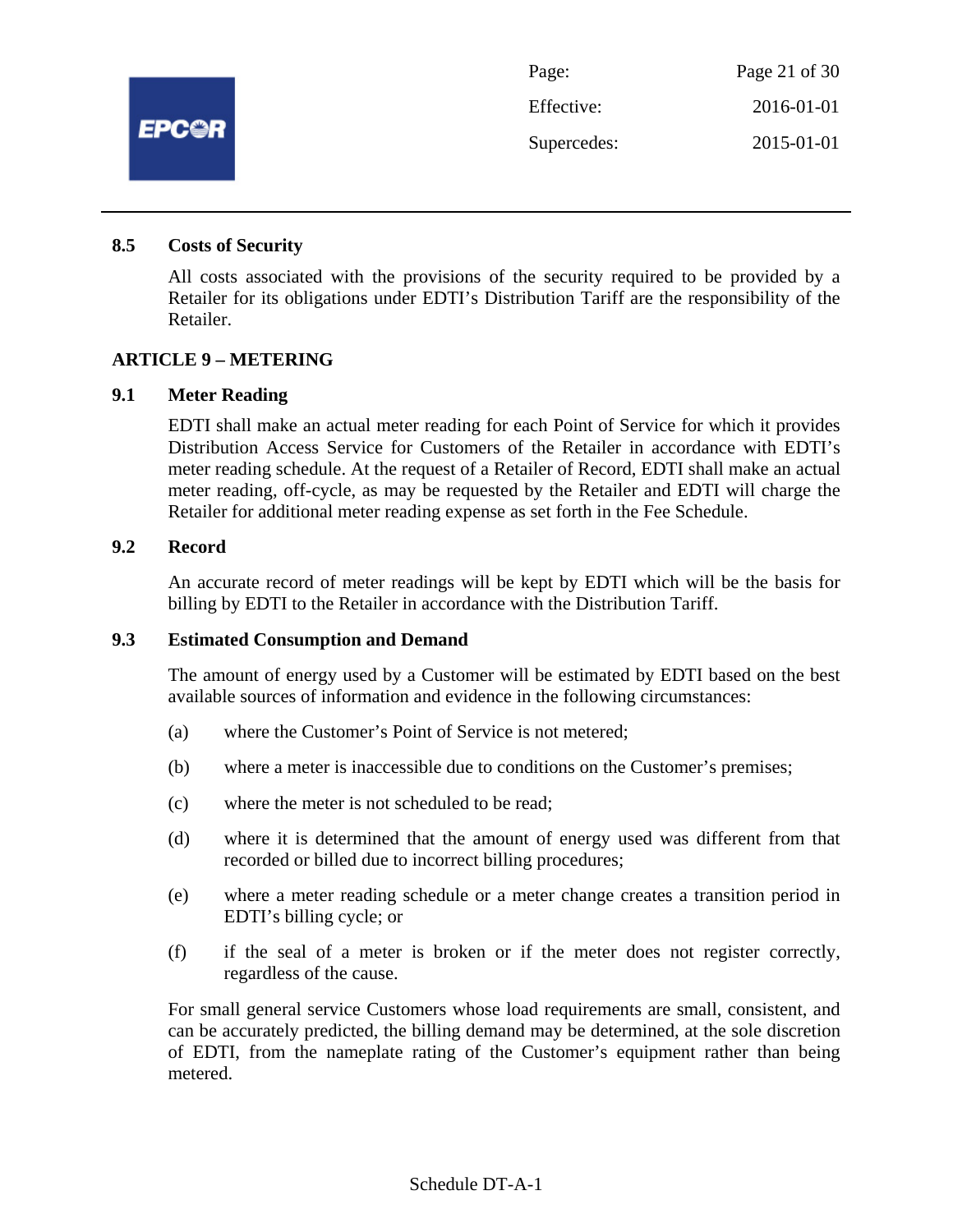

Page: Page 21 of 30 Effective: 2016-01-01 Supercedes: 2015-01-01

#### **8.5 Costs of Security**

All costs associated with the provisions of the security required to be provided by a Retailer for its obligations under EDTI's Distribution Tariff are the responsibility of the Retailer.

#### **ARTICLE 9 – METERING**

#### **9.1 Meter Reading**

EDTI shall make an actual meter reading for each Point of Service for which it provides Distribution Access Service for Customers of the Retailer in accordance with EDTI's meter reading schedule. At the request of a Retailer of Record, EDTI shall make an actual meter reading, off-cycle, as may be requested by the Retailer and EDTI will charge the Retailer for additional meter reading expense as set forth in the Fee Schedule.

#### **9.2 Record**

An accurate record of meter readings will be kept by EDTI which will be the basis for billing by EDTI to the Retailer in accordance with the Distribution Tariff.

#### **9.3 Estimated Consumption and Demand**

The amount of energy used by a Customer will be estimated by EDTI based on the best available sources of information and evidence in the following circumstances:

- (a) where the Customer's Point of Service is not metered;
- (b) where a meter is inaccessible due to conditions on the Customer's premises;
- (c) where the meter is not scheduled to be read;
- (d) where it is determined that the amount of energy used was different from that recorded or billed due to incorrect billing procedures;
- (e) where a meter reading schedule or a meter change creates a transition period in EDTI's billing cycle; or
- (f) if the seal of a meter is broken or if the meter does not register correctly, regardless of the cause.

For small general service Customers whose load requirements are small, consistent, and can be accurately predicted, the billing demand may be determined, at the sole discretion of EDTI, from the nameplate rating of the Customer's equipment rather than being metered.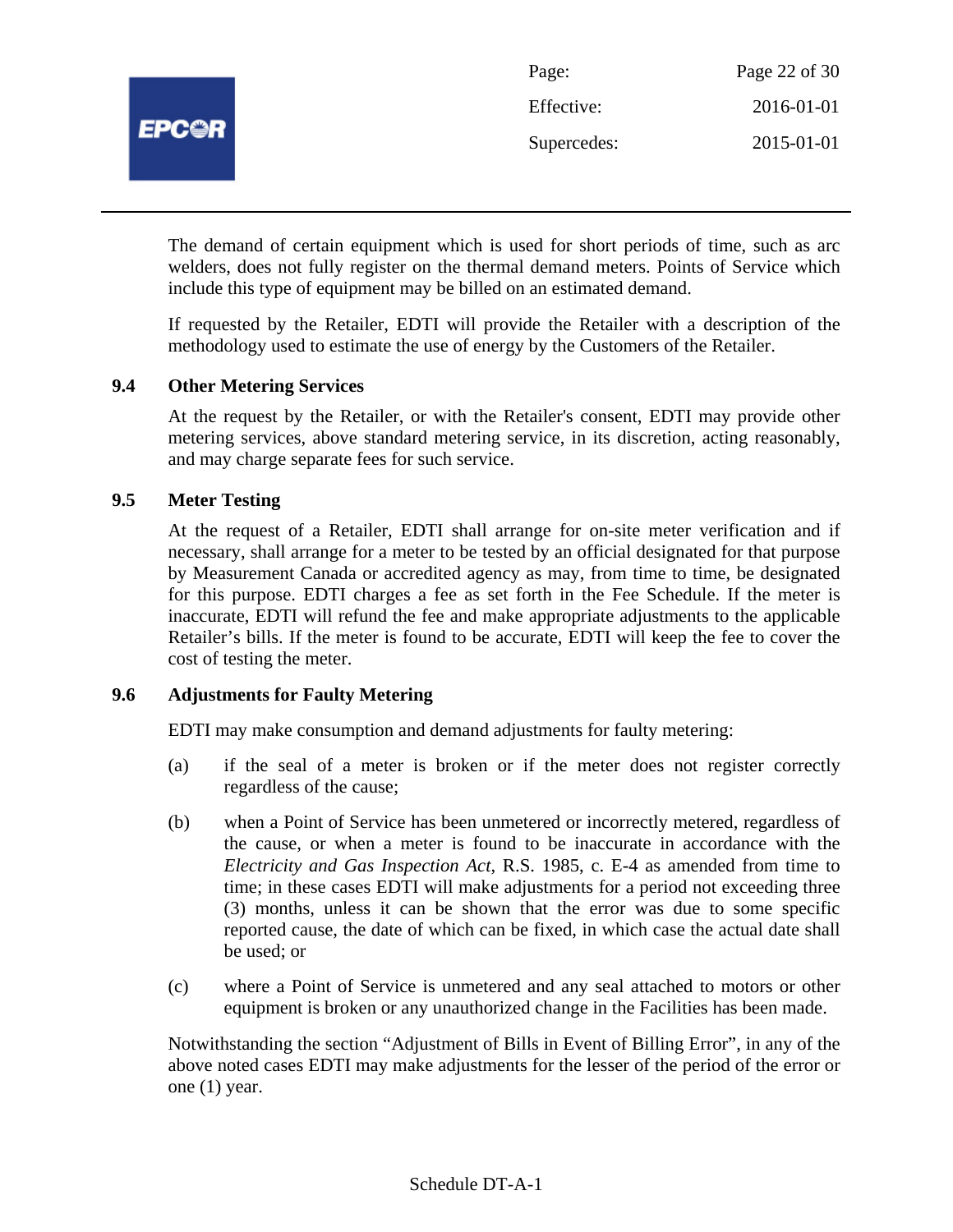

| Page:       | Page 22 of 30 |
|-------------|---------------|
| Effective:  | 2016-01-01    |
| Supercedes: | 2015-01-01    |

The demand of certain equipment which is used for short periods of time, such as arc welders, does not fully register on the thermal demand meters. Points of Service which include this type of equipment may be billed on an estimated demand.

If requested by the Retailer, EDTI will provide the Retailer with a description of the methodology used to estimate the use of energy by the Customers of the Retailer.

# **9.4 Other Metering Services**

At the request by the Retailer, or with the Retailer's consent, EDTI may provide other metering services, above standard metering service, in its discretion, acting reasonably, and may charge separate fees for such service.

# **9.5 Meter Testing**

At the request of a Retailer, EDTI shall arrange for on-site meter verification and if necessary, shall arrange for a meter to be tested by an official designated for that purpose by Measurement Canada or accredited agency as may, from time to time, be designated for this purpose. EDTI charges a fee as set forth in the Fee Schedule. If the meter is inaccurate, EDTI will refund the fee and make appropriate adjustments to the applicable Retailer's bills. If the meter is found to be accurate, EDTI will keep the fee to cover the cost of testing the meter.

#### **9.6 Adjustments for Faulty Metering**

EDTI may make consumption and demand adjustments for faulty metering:

- (a) if the seal of a meter is broken or if the meter does not register correctly regardless of the cause;
- (b) when a Point of Service has been unmetered or incorrectly metered, regardless of the cause, or when a meter is found to be inaccurate in accordance with the *Electricity and Gas Inspection Act*, R.S. 1985, c. E-4 as amended from time to time; in these cases EDTI will make adjustments for a period not exceeding three (3) months, unless it can be shown that the error was due to some specific reported cause, the date of which can be fixed, in which case the actual date shall be used; or
- (c) where a Point of Service is unmetered and any seal attached to motors or other equipment is broken or any unauthorized change in the Facilities has been made.

Notwithstanding the section "Adjustment of Bills in Event of Billing Error", in any of the above noted cases EDTI may make adjustments for the lesser of the period of the error or one (1) year.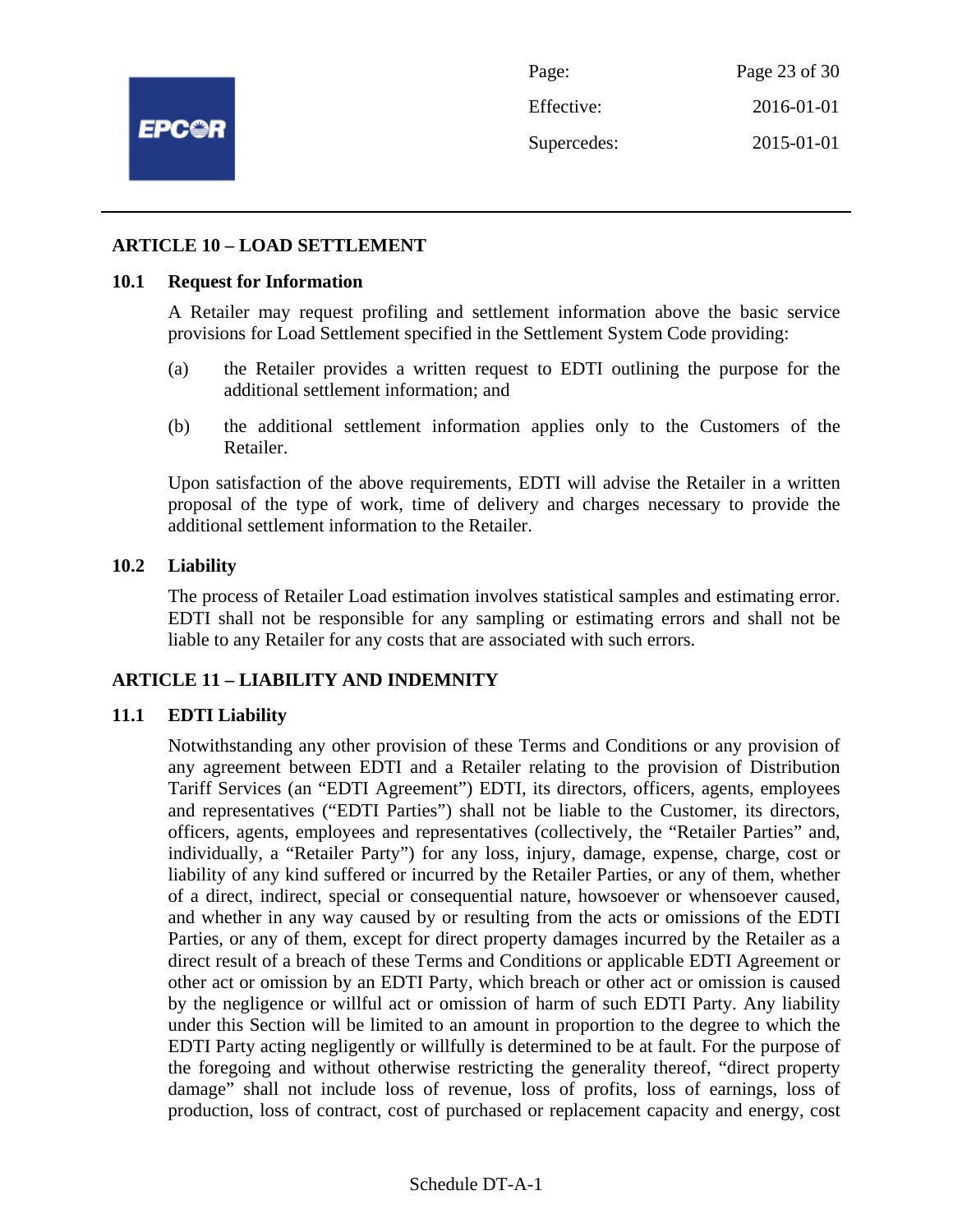

Page: Page 23 of 30 Effective: 2016-01-01 Supercedes: 2015-01-01

#### **ARTICLE 10 – LOAD SETTLEMENT**

#### **10.1 Request for Information**

A Retailer may request profiling and settlement information above the basic service provisions for Load Settlement specified in the Settlement System Code providing:

- (a) the Retailer provides a written request to EDTI outlining the purpose for the additional settlement information; and
- (b) the additional settlement information applies only to the Customers of the Retailer.

Upon satisfaction of the above requirements, EDTI will advise the Retailer in a written proposal of the type of work, time of delivery and charges necessary to provide the additional settlement information to the Retailer.

#### **10.2 Liability**

The process of Retailer Load estimation involves statistical samples and estimating error. EDTI shall not be responsible for any sampling or estimating errors and shall not be liable to any Retailer for any costs that are associated with such errors.

# **ARTICLE 11 – LIABILITY AND INDEMNITY**

#### **11.1 EDTI Liability**

Notwithstanding any other provision of these Terms and Conditions or any provision of any agreement between EDTI and a Retailer relating to the provision of Distribution Tariff Services (an "EDTI Agreement") EDTI, its directors, officers, agents, employees and representatives ("EDTI Parties") shall not be liable to the Customer, its directors, officers, agents, employees and representatives (collectively, the "Retailer Parties" and, individually, a "Retailer Party") for any loss, injury, damage, expense, charge, cost or liability of any kind suffered or incurred by the Retailer Parties, or any of them, whether of a direct, indirect, special or consequential nature, howsoever or whensoever caused, and whether in any way caused by or resulting from the acts or omissions of the EDTI Parties, or any of them, except for direct property damages incurred by the Retailer as a direct result of a breach of these Terms and Conditions or applicable EDTI Agreement or other act or omission by an EDTI Party, which breach or other act or omission is caused by the negligence or willful act or omission of harm of such EDTI Party. Any liability under this Section will be limited to an amount in proportion to the degree to which the EDTI Party acting negligently or willfully is determined to be at fault. For the purpose of the foregoing and without otherwise restricting the generality thereof, "direct property damage" shall not include loss of revenue, loss of profits, loss of earnings, loss of production, loss of contract, cost of purchased or replacement capacity and energy, cost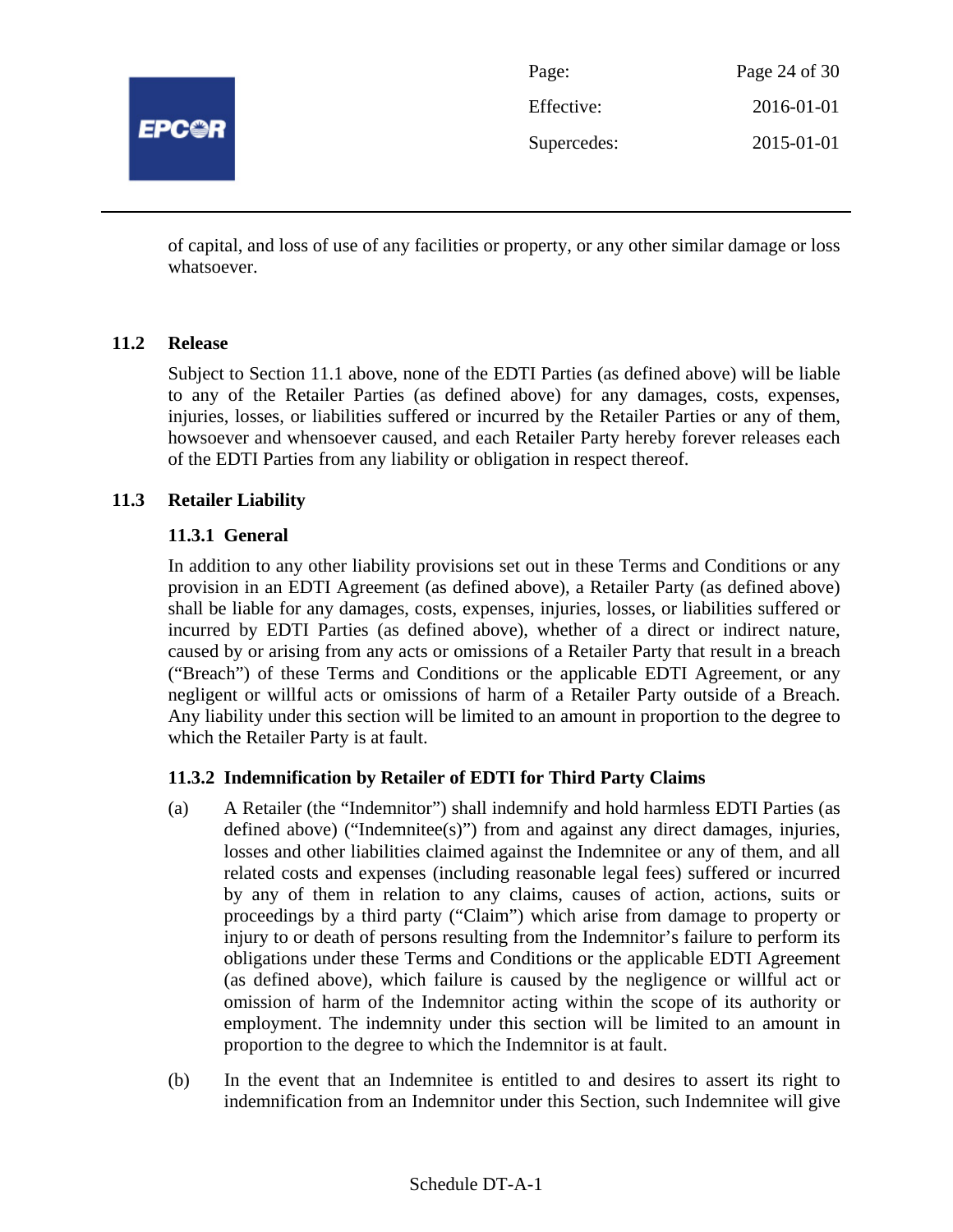

| Page:       | Page 24 of 30 |
|-------------|---------------|
| Effective:  | 2016-01-01    |
| Supercedes: | 2015-01-01    |

of capital, and loss of use of any facilities or property, or any other similar damage or loss whatsoever.

#### **11.2 Release**

Subject to Section 11.1 above, none of the EDTI Parties (as defined above) will be liable to any of the Retailer Parties (as defined above) for any damages, costs, expenses, injuries, losses, or liabilities suffered or incurred by the Retailer Parties or any of them, howsoever and whensoever caused, and each Retailer Party hereby forever releases each of the EDTI Parties from any liability or obligation in respect thereof.

# **11.3 Retailer Liability**

# **11.3.1 General**

In addition to any other liability provisions set out in these Terms and Conditions or any provision in an EDTI Agreement (as defined above), a Retailer Party (as defined above) shall be liable for any damages, costs, expenses, injuries, losses, or liabilities suffered or incurred by EDTI Parties (as defined above), whether of a direct or indirect nature, caused by or arising from any acts or omissions of a Retailer Party that result in a breach ("Breach") of these Terms and Conditions or the applicable EDTI Agreement, or any negligent or willful acts or omissions of harm of a Retailer Party outside of a Breach. Any liability under this section will be limited to an amount in proportion to the degree to which the Retailer Party is at fault.

# **11.3.2 Indemnification by Retailer of EDTI for Third Party Claims**

- (a) A Retailer (the "Indemnitor") shall indemnify and hold harmless EDTI Parties (as defined above) ("Indemnitee(s)") from and against any direct damages, injuries, losses and other liabilities claimed against the Indemnitee or any of them, and all related costs and expenses (including reasonable legal fees) suffered or incurred by any of them in relation to any claims, causes of action, actions, suits or proceedings by a third party ("Claim") which arise from damage to property or injury to or death of persons resulting from the Indemnitor's failure to perform its obligations under these Terms and Conditions or the applicable EDTI Agreement (as defined above), which failure is caused by the negligence or willful act or omission of harm of the Indemnitor acting within the scope of its authority or employment. The indemnity under this section will be limited to an amount in proportion to the degree to which the Indemnitor is at fault.
- (b) In the event that an Indemnitee is entitled to and desires to assert its right to indemnification from an Indemnitor under this Section, such Indemnitee will give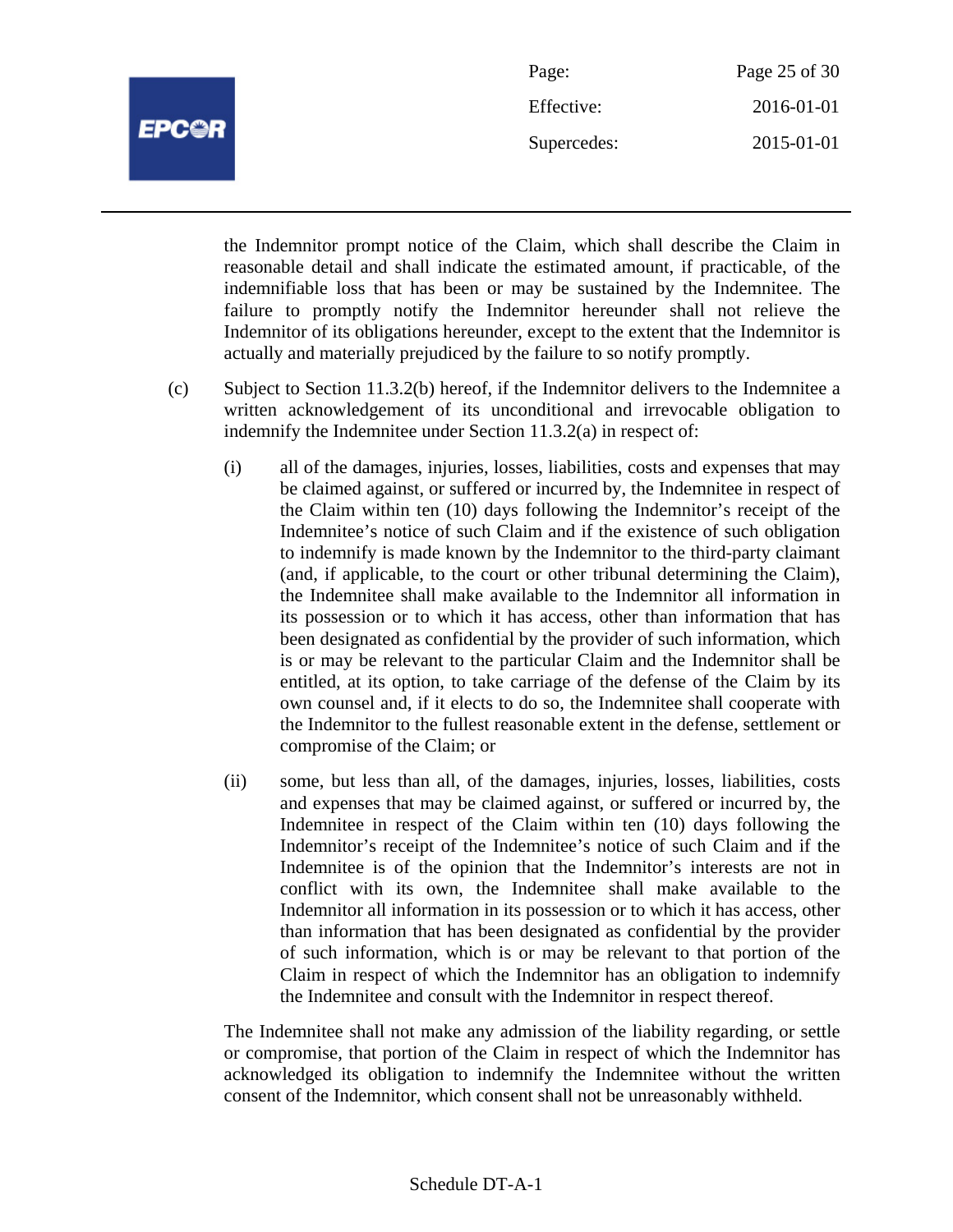

| Page:       | Page 25 of 30 |
|-------------|---------------|
| Effective:  | 2016-01-01    |
| Supercedes: | 2015-01-01    |

the Indemnitor prompt notice of the Claim, which shall describe the Claim in reasonable detail and shall indicate the estimated amount, if practicable, of the indemnifiable loss that has been or may be sustained by the Indemnitee. The failure to promptly notify the Indemnitor hereunder shall not relieve the Indemnitor of its obligations hereunder, except to the extent that the Indemnitor is actually and materially prejudiced by the failure to so notify promptly.

- (c) Subject to Section 11.3.2(b) hereof, if the Indemnitor delivers to the Indemnitee a written acknowledgement of its unconditional and irrevocable obligation to indemnify the Indemnitee under Section 11.3.2(a) in respect of:
	- (i) all of the damages, injuries, losses, liabilities, costs and expenses that may be claimed against, or suffered or incurred by, the Indemnitee in respect of the Claim within ten (10) days following the Indemnitor's receipt of the Indemnitee's notice of such Claim and if the existence of such obligation to indemnify is made known by the Indemnitor to the third-party claimant (and, if applicable, to the court or other tribunal determining the Claim), the Indemnitee shall make available to the Indemnitor all information in its possession or to which it has access, other than information that has been designated as confidential by the provider of such information, which is or may be relevant to the particular Claim and the Indemnitor shall be entitled, at its option, to take carriage of the defense of the Claim by its own counsel and, if it elects to do so, the Indemnitee shall cooperate with the Indemnitor to the fullest reasonable extent in the defense, settlement or compromise of the Claim; or
	- (ii) some, but less than all, of the damages, injuries, losses, liabilities, costs and expenses that may be claimed against, or suffered or incurred by, the Indemnitee in respect of the Claim within ten (10) days following the Indemnitor's receipt of the Indemnitee's notice of such Claim and if the Indemnitee is of the opinion that the Indemnitor's interests are not in conflict with its own, the Indemnitee shall make available to the Indemnitor all information in its possession or to which it has access, other than information that has been designated as confidential by the provider of such information, which is or may be relevant to that portion of the Claim in respect of which the Indemnitor has an obligation to indemnify the Indemnitee and consult with the Indemnitor in respect thereof.

The Indemnitee shall not make any admission of the liability regarding, or settle or compromise, that portion of the Claim in respect of which the Indemnitor has acknowledged its obligation to indemnify the Indemnitee without the written consent of the Indemnitor, which consent shall not be unreasonably withheld.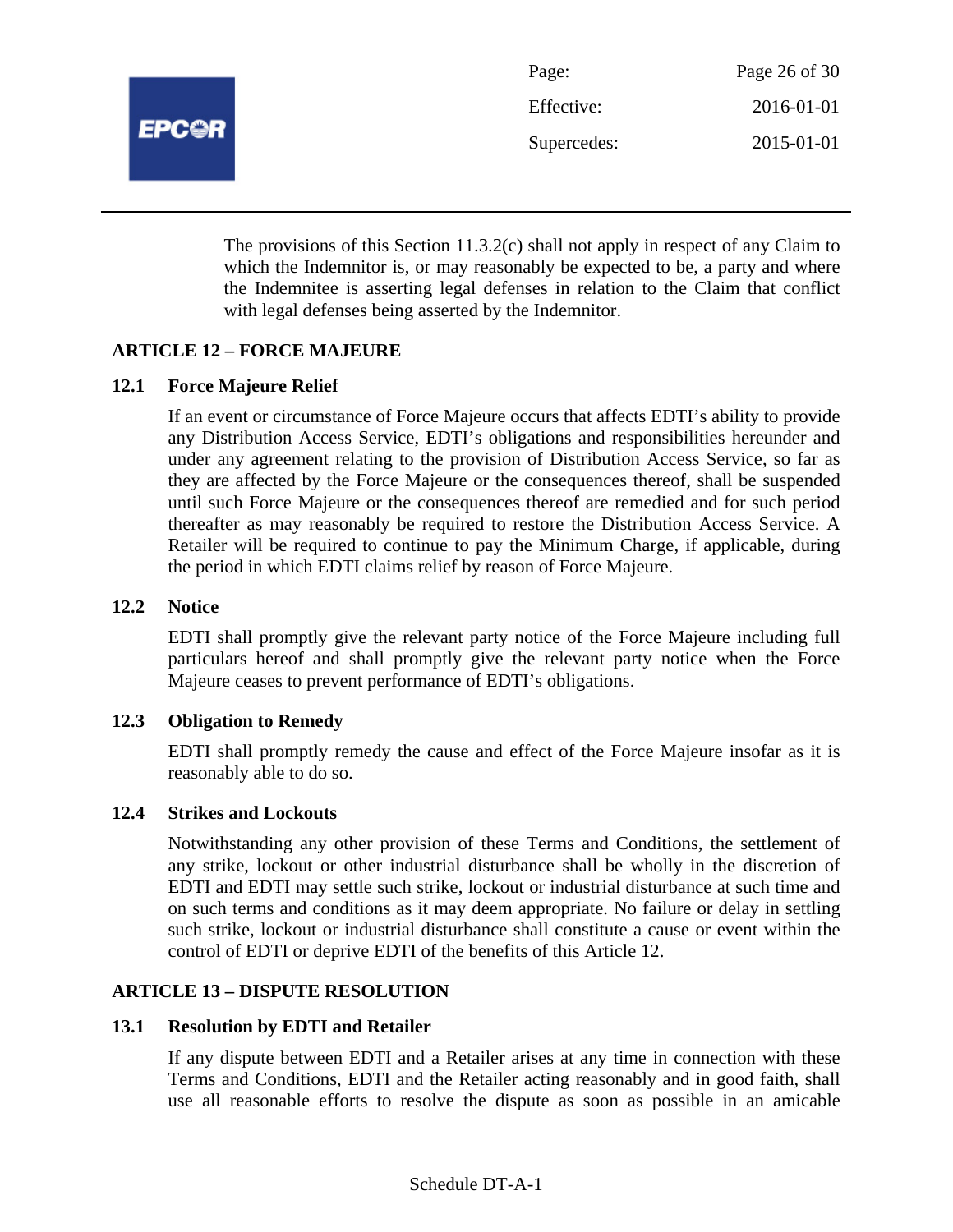

| Page:       | Page 26 of 30 |
|-------------|---------------|
| Effective:  | 2016-01-01    |
| Supercedes: | 2015-01-01    |

The provisions of this Section 11.3.2(c) shall not apply in respect of any Claim to which the Indemnitor is, or may reasonably be expected to be, a party and where the Indemnitee is asserting legal defenses in relation to the Claim that conflict with legal defenses being asserted by the Indemnitor.

# **ARTICLE 12 – FORCE MAJEURE**

# **12.1 Force Majeure Relief**

If an event or circumstance of Force Majeure occurs that affects EDTI's ability to provide any Distribution Access Service, EDTI's obligations and responsibilities hereunder and under any agreement relating to the provision of Distribution Access Service, so far as they are affected by the Force Majeure or the consequences thereof, shall be suspended until such Force Majeure or the consequences thereof are remedied and for such period thereafter as may reasonably be required to restore the Distribution Access Service. A Retailer will be required to continue to pay the Minimum Charge, if applicable, during the period in which EDTI claims relief by reason of Force Majeure.

#### **12.2 Notice**

EDTI shall promptly give the relevant party notice of the Force Majeure including full particulars hereof and shall promptly give the relevant party notice when the Force Majeure ceases to prevent performance of EDTI's obligations.

#### **12.3 Obligation to Remedy**

EDTI shall promptly remedy the cause and effect of the Force Majeure insofar as it is reasonably able to do so.

#### **12.4 Strikes and Lockouts**

Notwithstanding any other provision of these Terms and Conditions, the settlement of any strike, lockout or other industrial disturbance shall be wholly in the discretion of EDTI and EDTI may settle such strike, lockout or industrial disturbance at such time and on such terms and conditions as it may deem appropriate. No failure or delay in settling such strike, lockout or industrial disturbance shall constitute a cause or event within the control of EDTI or deprive EDTI of the benefits of this Article 12.

#### **ARTICLE 13 – DISPUTE RESOLUTION**

#### **13.1 Resolution by EDTI and Retailer**

If any dispute between EDTI and a Retailer arises at any time in connection with these Terms and Conditions, EDTI and the Retailer acting reasonably and in good faith, shall use all reasonable efforts to resolve the dispute as soon as possible in an amicable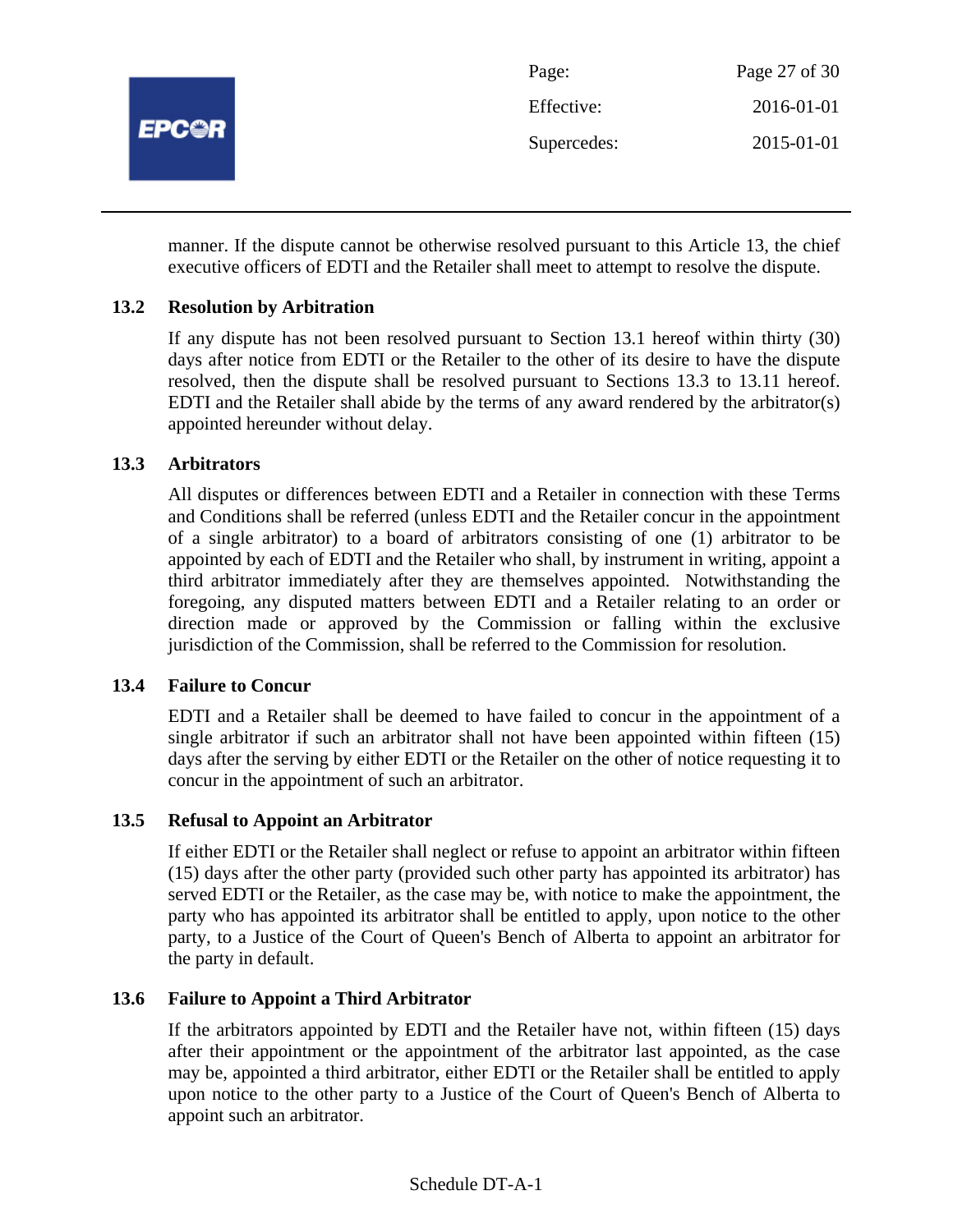

manner. If the dispute cannot be otherwise resolved pursuant to this Article 13, the chief executive officers of EDTI and the Retailer shall meet to attempt to resolve the dispute.

# **13.2 Resolution by Arbitration**

If any dispute has not been resolved pursuant to Section 13.1 hereof within thirty (30) days after notice from EDTI or the Retailer to the other of its desire to have the dispute resolved, then the dispute shall be resolved pursuant to Sections 13.3 to 13.11 hereof. EDTI and the Retailer shall abide by the terms of any award rendered by the arbitrator(s) appointed hereunder without delay.

# **13.3 Arbitrators**

All disputes or differences between EDTI and a Retailer in connection with these Terms and Conditions shall be referred (unless EDTI and the Retailer concur in the appointment of a single arbitrator) to a board of arbitrators consisting of one (1) arbitrator to be appointed by each of EDTI and the Retailer who shall, by instrument in writing, appoint a third arbitrator immediately after they are themselves appointed. Notwithstanding the foregoing, any disputed matters between EDTI and a Retailer relating to an order or direction made or approved by the Commission or falling within the exclusive jurisdiction of the Commission, shall be referred to the Commission for resolution.

#### **13.4 Failure to Concur**

EDTI and a Retailer shall be deemed to have failed to concur in the appointment of a single arbitrator if such an arbitrator shall not have been appointed within fifteen (15) days after the serving by either EDTI or the Retailer on the other of notice requesting it to concur in the appointment of such an arbitrator.

# **13.5 Refusal to Appoint an Arbitrator**

If either EDTI or the Retailer shall neglect or refuse to appoint an arbitrator within fifteen (15) days after the other party (provided such other party has appointed its arbitrator) has served EDTI or the Retailer, as the case may be, with notice to make the appointment, the party who has appointed its arbitrator shall be entitled to apply, upon notice to the other party, to a Justice of the Court of Queen's Bench of Alberta to appoint an arbitrator for the party in default.

# **13.6 Failure to Appoint a Third Arbitrator**

If the arbitrators appointed by EDTI and the Retailer have not, within fifteen (15) days after their appointment or the appointment of the arbitrator last appointed, as the case may be, appointed a third arbitrator, either EDTI or the Retailer shall be entitled to apply upon notice to the other party to a Justice of the Court of Queen's Bench of Alberta to appoint such an arbitrator.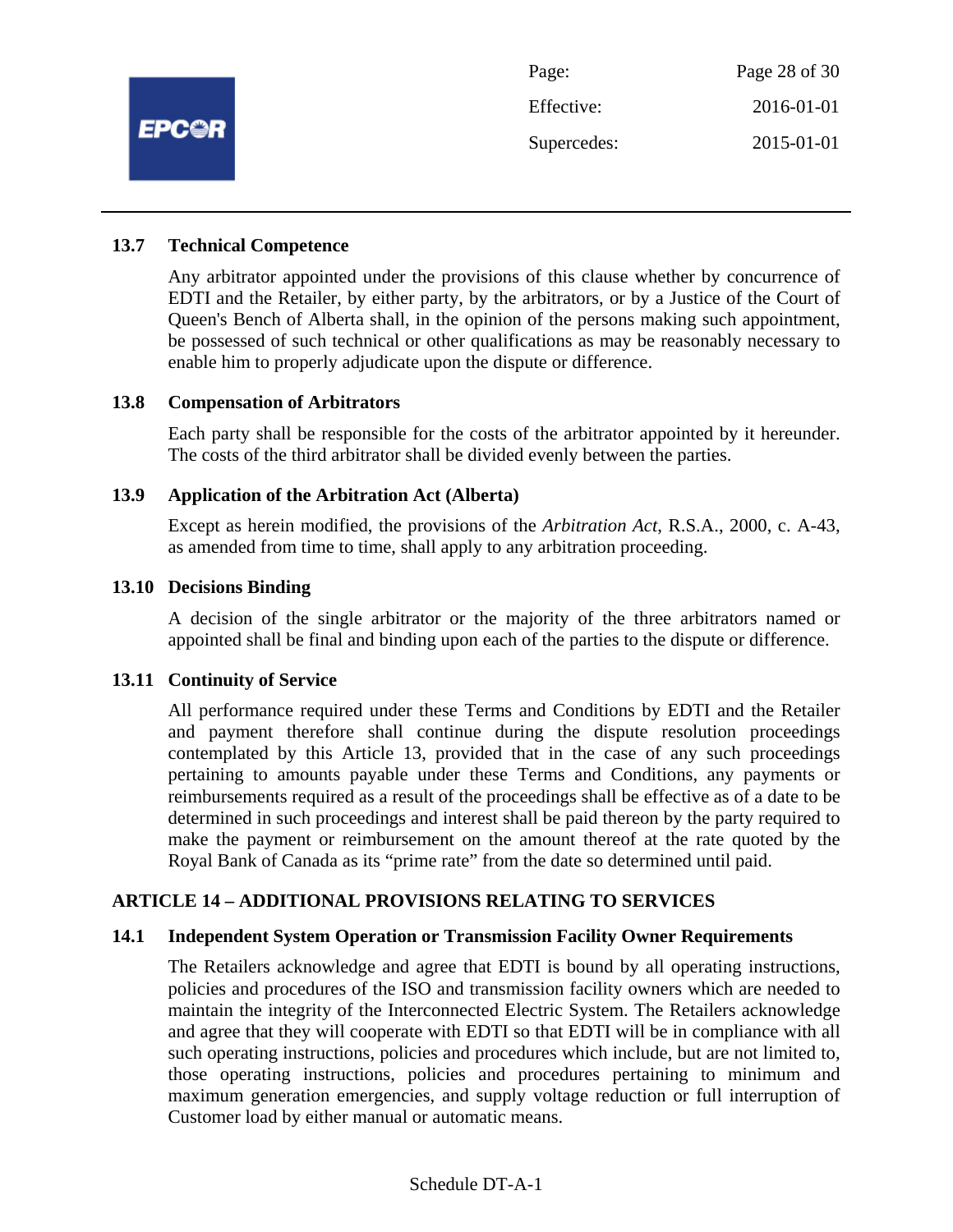

Page: Page 28 of 30 Effective: 2016-01-01 Supercedes: 2015-01-01

#### **13.7 Technical Competence**

Any arbitrator appointed under the provisions of this clause whether by concurrence of EDTI and the Retailer, by either party, by the arbitrators, or by a Justice of the Court of Queen's Bench of Alberta shall, in the opinion of the persons making such appointment, be possessed of such technical or other qualifications as may be reasonably necessary to enable him to properly adjudicate upon the dispute or difference.

#### **13.8 Compensation of Arbitrators**

Each party shall be responsible for the costs of the arbitrator appointed by it hereunder. The costs of the third arbitrator shall be divided evenly between the parties.

#### **13.9 Application of the Arbitration Act (Alberta)**

Except as herein modified, the provisions of the *Arbitration Act*, R.S.A., 2000, c. A-43, as amended from time to time, shall apply to any arbitration proceeding.

#### **13.10 Decisions Binding**

A decision of the single arbitrator or the majority of the three arbitrators named or appointed shall be final and binding upon each of the parties to the dispute or difference.

#### **13.11 Continuity of Service**

All performance required under these Terms and Conditions by EDTI and the Retailer and payment therefore shall continue during the dispute resolution proceedings contemplated by this Article 13, provided that in the case of any such proceedings pertaining to amounts payable under these Terms and Conditions, any payments or reimbursements required as a result of the proceedings shall be effective as of a date to be determined in such proceedings and interest shall be paid thereon by the party required to make the payment or reimbursement on the amount thereof at the rate quoted by the Royal Bank of Canada as its "prime rate" from the date so determined until paid.

#### **ARTICLE 14 – ADDITIONAL PROVISIONS RELATING TO SERVICES**

#### **14.1 Independent System Operation or Transmission Facility Owner Requirements**

The Retailers acknowledge and agree that EDTI is bound by all operating instructions, policies and procedures of the ISO and transmission facility owners which are needed to maintain the integrity of the Interconnected Electric System. The Retailers acknowledge and agree that they will cooperate with EDTI so that EDTI will be in compliance with all such operating instructions, policies and procedures which include, but are not limited to, those operating instructions, policies and procedures pertaining to minimum and maximum generation emergencies, and supply voltage reduction or full interruption of Customer load by either manual or automatic means.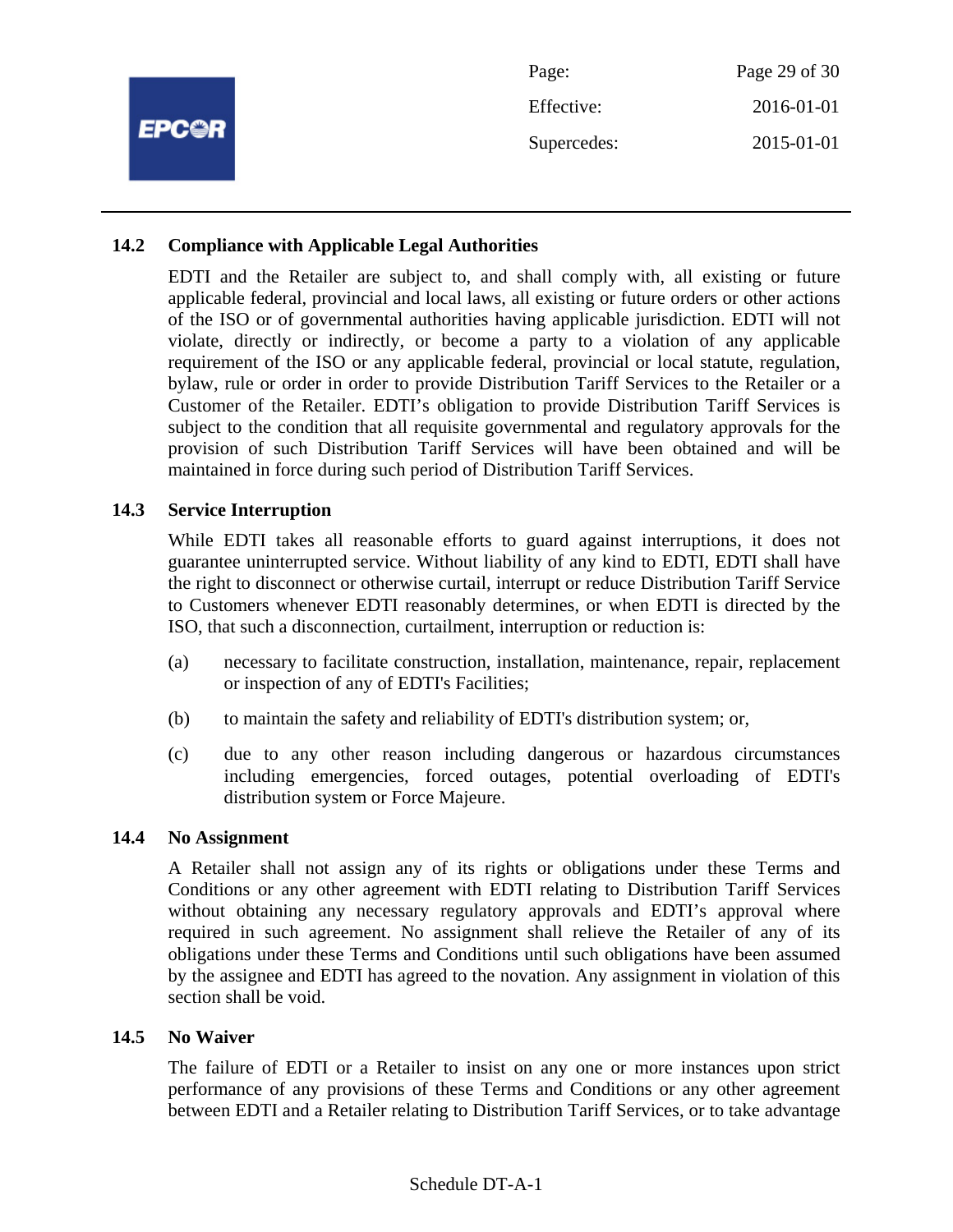|              | Page:       | Page 29 of 30 |
|--------------|-------------|---------------|
| <b>EPC@R</b> | Effective:  | 2016-01-01    |
|              | Supercedes: | 2015-01-01    |
|              |             |               |

#### **14.2 Compliance with Applicable Legal Authorities**

EDTI and the Retailer are subject to, and shall comply with, all existing or future applicable federal, provincial and local laws, all existing or future orders or other actions of the ISO or of governmental authorities having applicable jurisdiction. EDTI will not violate, directly or indirectly, or become a party to a violation of any applicable requirement of the ISO or any applicable federal, provincial or local statute, regulation, bylaw, rule or order in order to provide Distribution Tariff Services to the Retailer or a Customer of the Retailer. EDTI's obligation to provide Distribution Tariff Services is subject to the condition that all requisite governmental and regulatory approvals for the provision of such Distribution Tariff Services will have been obtained and will be maintained in force during such period of Distribution Tariff Services.

#### **14.3 Service Interruption**

While EDTI takes all reasonable efforts to guard against interruptions, it does not guarantee uninterrupted service. Without liability of any kind to EDTI, EDTI shall have the right to disconnect or otherwise curtail, interrupt or reduce Distribution Tariff Service to Customers whenever EDTI reasonably determines, or when EDTI is directed by the ISO, that such a disconnection, curtailment, interruption or reduction is:

- (a) necessary to facilitate construction, installation, maintenance, repair, replacement or inspection of any of EDTI's Facilities;
- (b) to maintain the safety and reliability of EDTI's distribution system; or,
- (c) due to any other reason including dangerous or hazardous circumstances including emergencies, forced outages, potential overloading of EDTI's distribution system or Force Majeure.

#### **14.4 No Assignment**

A Retailer shall not assign any of its rights or obligations under these Terms and Conditions or any other agreement with EDTI relating to Distribution Tariff Services without obtaining any necessary regulatory approvals and EDTI's approval where required in such agreement. No assignment shall relieve the Retailer of any of its obligations under these Terms and Conditions until such obligations have been assumed by the assignee and EDTI has agreed to the novation. Any assignment in violation of this section shall be void.

#### **14.5 No Waiver**

The failure of EDTI or a Retailer to insist on any one or more instances upon strict performance of any provisions of these Terms and Conditions or any other agreement between EDTI and a Retailer relating to Distribution Tariff Services, or to take advantage